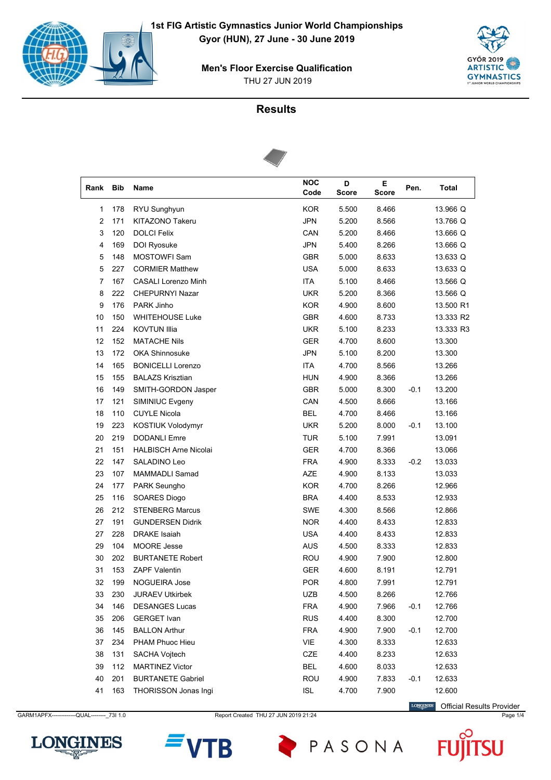



### **Results**



| Rank | <b>Bib</b> | Name                         | <b>NOC</b><br>Code | D<br><b>Score</b> | Е<br><b>Score</b> | Pen.   | <b>Total</b> |
|------|------------|------------------------------|--------------------|-------------------|-------------------|--------|--------------|
| 1    | 178        | RYU Sunghyun                 | <b>KOR</b>         | 5.500             | 8.466             |        | 13.966 Q     |
| 2    | 171        | <b>KITAZONO Takeru</b>       | <b>JPN</b>         | 5.200             | 8.566             |        | 13.766 Q     |
| 3    | 120        | <b>DOLCI Felix</b>           | CAN                | 5.200             | 8.466             |        | 13.666 Q     |
| 4    | 169        | DOI Ryosuke                  | <b>JPN</b>         | 5.400             | 8.266             |        | 13.666 Q     |
| 5    | 148        | <b>MOSTOWFI Sam</b>          | <b>GBR</b>         | 5.000             | 8.633             |        | 13.633 Q     |
| 5    | 227        | <b>CORMIER Matthew</b>       | <b>USA</b>         | 5.000             | 8.633             |        | 13.633 Q     |
| 7    | 167        | <b>CASALI Lorenzo Minh</b>   | <b>ITA</b>         | 5.100             | 8.466             |        | 13.566 Q     |
| 8    | 222        | <b>CHEPURNYI Nazar</b>       | <b>UKR</b>         | 5.200             | 8.366             |        | 13.566 Q     |
| 9    | 176        | PARK Jinho                   | <b>KOR</b>         | 4.900             | 8.600             |        | 13.500 R1    |
| 10   | 150        | <b>WHITEHOUSE Luke</b>       | <b>GBR</b>         | 4.600             | 8.733             |        | 13.333 R2    |
| 11   | 224        | <b>KOVTUN Illia</b>          | <b>UKR</b>         | 5.100             | 8.233             |        | 13.333 R3    |
| 12   | 152        | <b>MATACHE Nils</b>          | GER                | 4.700             | 8.600             |        | 13.300       |
| 13   | 172        | <b>OKA Shinnosuke</b>        | <b>JPN</b>         | 5.100             | 8.200             |        | 13.300       |
| 14   | 165        | <b>BONICELLI Lorenzo</b>     | <b>ITA</b>         | 4.700             | 8.566             |        | 13.266       |
| 15   | 155        | <b>BALAZS Krisztian</b>      | <b>HUN</b>         | 4.900             | 8.366             |        | 13.266       |
| 16   | 149        | SMITH-GORDON Jasper          | <b>GBR</b>         | 5.000             | 8.300             | $-0.1$ | 13.200       |
| 17   | 121        | SIMINIUC Evgeny              | CAN                | 4.500             | 8.666             |        | 13.166       |
| 18   | 110        | <b>CUYLE Nicola</b>          | <b>BEL</b>         | 4.700             | 8.466             |        | 13.166       |
| 19   | 223        | KOSTIUK Volodymyr            | <b>UKR</b>         | 5.200             | 8.000             | $-0.1$ | 13.100       |
| 20   | 219        | <b>DODANLI Emre</b>          | <b>TUR</b>         | 5.100             | 7.991             |        | 13.091       |
| 21   | 151        | <b>HALBISCH Arne Nicolai</b> | <b>GER</b>         | 4.700             | 8.366             |        | 13.066       |
| 22   | 147        | SALADINO Leo                 | <b>FRA</b>         | 4.900             | 8.333             | $-0.2$ | 13.033       |
| 23   | 107        | <b>MAMMADLI Samad</b>        | <b>AZE</b>         | 4.900             | 8.133             |        | 13.033       |
| 24   | 177        | PARK Seungho                 | <b>KOR</b>         | 4.700             | 8.266             |        | 12.966       |
| 25   | 116        | SOARES Diogo                 | <b>BRA</b>         | 4.400             | 8.533             |        | 12.933       |
| 26   | 212        | <b>STENBERG Marcus</b>       | SWE                | 4.300             | 8.566             |        | 12.866       |
| 27   | 191        | <b>GUNDERSEN Didrik</b>      | <b>NOR</b>         | 4.400             | 8.433             |        | 12.833       |
| 27   | 228        | <b>DRAKE</b> Isaiah          | <b>USA</b>         | 4.400             | 8.433             |        | 12.833       |
| 29   | 104        | <b>MOORE Jesse</b>           | <b>AUS</b>         | 4.500             | 8.333             |        | 12.833       |
| 30   | 202        | <b>BURTANETE Robert</b>      | <b>ROU</b>         | 4.900             | 7.900             |        | 12.800       |
| 31   | 153        | <b>ZAPF Valentin</b>         | <b>GER</b>         | 4.600             | 8.191             |        | 12.791       |
| 32   | 199        | NOGUEIRA Jose                | POR                | 4.800             | 7.991             |        | 12.791       |
| 33   | 230        | <b>JURAEV Utkirbek</b>       | UZB                | 4.500             | 8.266             |        | 12.766       |
| 34   | 146        | <b>DESANGES Lucas</b>        | <b>FRA</b>         | 4.900             | 7.966             | $-0.1$ | 12.766       |
| 35   | 206        | <b>GERGET Ivan</b>           | <b>RUS</b>         | 4.400             | 8.300             |        | 12.700       |
| 36   | 145        | <b>BALLON Arthur</b>         | <b>FRA</b>         | 4.900             | 7.900             | $-0.1$ | 12.700       |
| 37   | 234        | PHAM Phuoc Hieu              | VIE                | 4.300             | 8.333             |        | 12.633       |
| 38   | 131        | <b>SACHA Vojtech</b>         | CZE                | 4.400             | 8.233             |        | 12.633       |
| 39   | 112        | <b>MARTINEZ Victor</b>       | <b>BEL</b>         | 4.600             | 8.033             |        | 12.633       |
| 40   | 201        | <b>BURTANETE Gabriel</b>     | ROU                | 4.900             | 7.833             | $-0.1$ | 12.633       |
| 41   | 163        | <b>THORISSON Jonas Ingi</b>  | <b>ISL</b>         | 4.700             | 7.900             |        | 12.600       |

GARM1APFX------------QUAL---------\_73I 1.0 Report Created THU 27 JUN 2019 21:24 Page 1/4 Page 1/4

**LONGINES** Official Results Provider

Ū



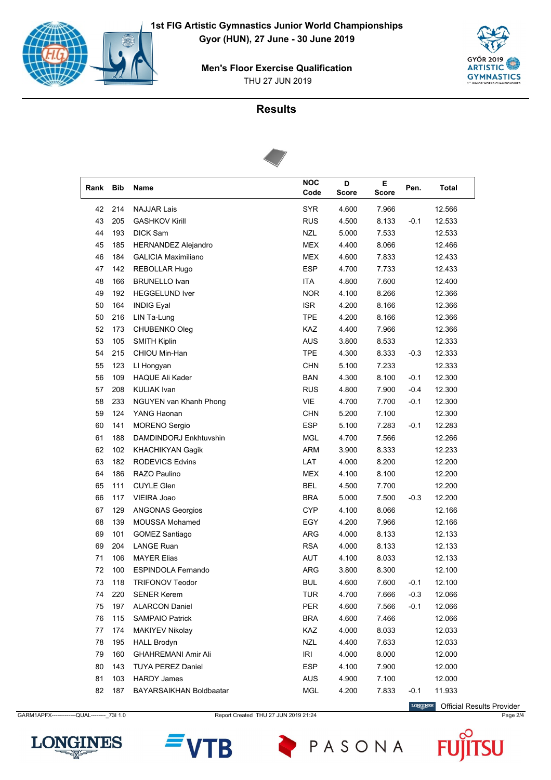



### **Results**



| Rank | <b>Bib</b> | Name                       | <b>NOC</b><br>Code | D<br><b>Score</b> | E.<br><b>Score</b> | Pen.   | <b>Total</b> |
|------|------------|----------------------------|--------------------|-------------------|--------------------|--------|--------------|
| 42   | 214        | <b>NAJJAR Lais</b>         | <b>SYR</b>         | 4.600             | 7.966              |        | 12.566       |
| 43   | 205        | <b>GASHKOV Kirill</b>      | <b>RUS</b>         | 4.500             | 8.133              | $-0.1$ | 12.533       |
| 44   | 193        | <b>DICK Sam</b>            | <b>NZL</b>         | 5.000             | 7.533              |        | 12.533       |
| 45   | 185        | <b>HERNANDEZ Alejandro</b> | <b>MEX</b>         | 4.400             | 8.066              |        | 12.466       |
| 46   | 184        | <b>GALICIA Maximiliano</b> | MEX                | 4.600             | 7.833              |        | 12.433       |
| 47   | 142        | REBOLLAR Hugo              | ESP                | 4.700             | 7.733              |        | 12.433       |
| 48   | 166        | <b>BRUNELLO Ivan</b>       | <b>ITA</b>         | 4.800             | 7.600              |        | 12.400       |
| 49   | 192        | <b>HEGGELUND Iver</b>      | <b>NOR</b>         | 4.100             | 8.266              |        | 12.366       |
| 50   | 164        | <b>INDIG Eyal</b>          | <b>ISR</b>         | 4.200             | 8.166              |        | 12.366       |
| 50   | 216        | LIN Ta-Lung                | <b>TPE</b>         | 4.200             | 8.166              |        | 12.366       |
| 52   | 173        | CHUBENKO Oleg              | <b>KAZ</b>         | 4.400             | 7.966              |        | 12.366       |
| 53   | 105        | <b>SMITH Kiplin</b>        | <b>AUS</b>         | 3.800             | 8.533              |        | 12.333       |
| 54   | 215        | CHIOU Min-Han              | <b>TPE</b>         | 4.300             | 8.333              | $-0.3$ | 12.333       |
| 55   | 123        | LI Hongyan                 | <b>CHN</b>         | 5.100             | 7.233              |        | 12.333       |
| 56   | 109        | <b>HAQUE Ali Kader</b>     | <b>BAN</b>         | 4.300             | 8.100              | $-0.1$ | 12.300       |
| 57   | 208        | <b>KULIAK Ivan</b>         | <b>RUS</b>         | 4.800             | 7.900              | $-0.4$ | 12.300       |
| 58   | 233        | NGUYEN van Khanh Phong     | VIE                | 4.700             | 7.700              | $-0.1$ | 12.300       |
| 59   | 124        | YANG Haonan                | CHN                | 5.200             | 7.100              |        | 12.300       |
| 60   | 141        | <b>MORENO</b> Sergio       | <b>ESP</b>         | 5.100             | 7.283              | $-0.1$ | 12.283       |
| 61   | 188        | DAMDINDORJ Enkhtuvshin     | <b>MGL</b>         | 4.700             | 7.566              |        | 12.266       |
| 62   | 102        | <b>KHACHIKYAN Gagik</b>    | <b>ARM</b>         | 3.900             | 8.333              |        | 12.233       |
| 63   | 182        | <b>RODEVICS Edvins</b>     | LAT                | 4.000             | 8.200              |        | 12.200       |
| 64   | 186        | RAZO Paulino               | <b>MEX</b>         | 4.100             | 8.100              |        | 12.200       |
| 65   | 111        | <b>CUYLE Glen</b>          | <b>BEL</b>         | 4.500             | 7.700              |        | 12.200       |
| 66   | 117        | VIEIRA Joao                | <b>BRA</b>         | 5.000             | 7.500              | $-0.3$ | 12.200       |
| 67   | 129        | <b>ANGONAS Georgios</b>    | <b>CYP</b>         | 4.100             | 8.066              |        | 12.166       |
| 68   | 139        | MOUSSA Mohamed             | EGY                | 4.200             | 7.966              |        | 12.166       |
| 69   | 101        | <b>GOMEZ Santiago</b>      | <b>ARG</b>         | 4.000             | 8.133              |        | 12.133       |
| 69   | 204        | <b>LANGE Ruan</b>          | <b>RSA</b>         | 4.000             | 8.133              |        | 12.133       |
| 71   | 106        | <b>MAYER Elias</b>         | AUT                | 4.100             | 8.033              |        | 12.133       |
| 72   | 100        | <b>ESPINDOLA Fernando</b>  | ARG                | 3.800             | 8.300              |        | 12.100       |
| 73   | 118        | <b>TRIFONOV Teodor</b>     | <b>BUL</b>         | 4.600             | 7.600              | -0.1   | 12.100       |
| 74   | 220        | <b>SENER Kerem</b>         | <b>TUR</b>         | 4.700             | 7.666              | $-0.3$ | 12.066       |
| 75   | 197        | <b>ALARCON Daniel</b>      | PER                | 4.600             | 7.566              | $-0.1$ | 12.066       |
| 76   | 115        | <b>SAMPAIO Patrick</b>     | <b>BRA</b>         | 4.600             | 7.466              |        | 12.066       |
| 77   | 174        | <b>MAKIYEV Nikolay</b>     | KAZ                | 4.000             | 8.033              |        | 12.033       |
| 78   | 195        | <b>HALL Brodyn</b>         | NZL                | 4.400             | 7.633              |        | 12.033       |
| 79   | 160        | <b>GHAHREMANI Amir Ali</b> | <b>IRI</b>         | 4.000             | 8.000              |        | 12.000       |
| 80   | 143        | <b>TUYA PEREZ Daniel</b>   | <b>ESP</b>         | 4.100             | 7.900              |        | 12.000       |
| 81   | 103        | <b>HARDY James</b>         | <b>AUS</b>         | 4.900             | 7.100              |        | 12.000       |
| 82   | 187        | BAYARSAIKHAN Boldbaatar    | MGL                | 4.200             | 7.833              | $-0.1$ | 11.933       |

GARM1APFX------------QUAL--------- 73I 1.0 Report Created THU 27 JUN 2019 21:24 Page 2/4 Page 2/4

**LONGINES** Official Results Provider







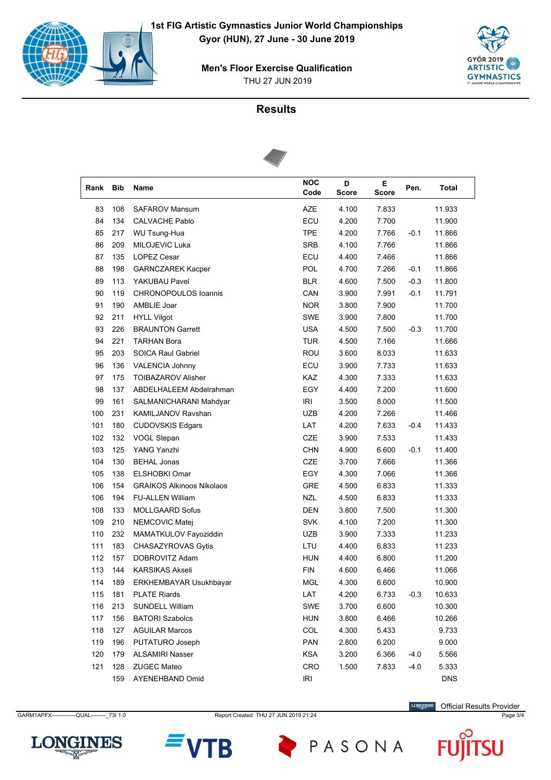



### **Results**



| Rank | <b>Bib</b> | Name                             | <b>NOC</b><br>Code | D<br><b>Score</b> | E.<br><b>Score</b> | Pen.   | <b>Total</b> |  |
|------|------------|----------------------------------|--------------------|-------------------|--------------------|--------|--------------|--|
| 83   | 108        | <b>SAFAROV Mansum</b>            | <b>AZE</b>         | 4.100             | 7.833              |        | 11.933       |  |
| 84   | 134        | <b>CALVACHE Pablo</b>            | ECU                | 4.200             | 7.700              |        | 11.900       |  |
| 85   | 217        | <b>WU Tsung-Hua</b>              | <b>TPE</b>         | 4.200             | 7.766              | $-0.1$ | 11.866       |  |
| 86   | 209        | MILOJEVIC Luka                   | <b>SRB</b>         | 4.100             | 7.766              |        | 11.866       |  |
| 87   | 135        | <b>LOPEZ Cesar</b>               | ECU                | 4.400             | 7.466              |        | 11.866       |  |
| 88   | 198        | <b>GARNCZAREK Kacper</b>         | POL                | 4.700             | 7.266              | $-0.1$ | 11.866       |  |
| 89   | 113        | YAKUBAU Pavel                    | <b>BLR</b>         | 4.600             | 7.500              | $-0.3$ | 11.800       |  |
| 90   | 119        | <b>CHRONOPOULOS loannis</b>      | CAN                | 3.900             | 7.991              | $-0.1$ | 11.791       |  |
| 91   | 190        | AMBLIE Joar                      | <b>NOR</b>         | 3.800             | 7.900              |        | 11.700       |  |
| 92   | 211        | <b>HYLL Vilgot</b>               | <b>SWE</b>         | 3.900             | 7.800              |        | 11.700       |  |
| 93   | 226        | <b>BRAUNTON Garrett</b>          | <b>USA</b>         | 4.500             | 7.500              | $-0.3$ | 11.700       |  |
| 94   | 221        | <b>TARHAN Bora</b>               | <b>TUR</b>         | 4.500             | 7.166              |        | 11.666       |  |
| 95   | 203        | <b>SOICA Raul Gabriel</b>        | <b>ROU</b>         | 3.600             | 8.033              |        | 11.633       |  |
| 96   | 136        | <b>VALENCIA Johnny</b>           | ECU                | 3.900             | 7.733              |        | 11.633       |  |
| 97   | 175        | <b>TOIBAZAROV Alisher</b>        | KAZ                | 4.300             | 7.333              |        | 11.633       |  |
| 98   | 137        | ABDELHALEEM Abdelrahman          | EGY                | 4.400             | 7.200              |        | 11.600       |  |
| 99   | 161        | SALMANICHARANI Mahdyar           | IRI                | 3.500             | 8.000              |        | 11.500       |  |
| 100  | 231        | <b>KAMILJANOV Ravshan</b>        | UZB                | 4.200             | 7.266              |        | 11.466       |  |
| 101  | 180        | <b>CUDOVSKIS Edgars</b>          | LAT                | 4.200             | 7.633              | $-0.4$ | 11.433       |  |
| 102  | 132        | VOGL Stepan                      | CZE                | 3.900             | 7.533              |        | 11.433       |  |
| 103  | 125        | YANG Yanzhi                      | <b>CHN</b>         | 4.900             | 6.600              | $-0.1$ | 11.400       |  |
| 104  | 130        | <b>BEHAL Jonas</b>               | CZE                | 3.700             | 7.666              |        | 11.366       |  |
| 105  | 138        | <b>ELSHOBKI Omar</b>             | EGY                | 4.300             | 7.066              |        | 11.366       |  |
| 106  | 154        | <b>GRAIKOS Alkinoos Nikolaos</b> | GRE                | 4.500             | 6.833              |        | 11.333       |  |
| 106  | 194        | <b>FU-ALLEN William</b>          | <b>NZL</b>         | 4.500             | 6.833              |        | 11.333       |  |
| 108  | 133        | <b>MOLLGAARD Sofus</b>           | <b>DEN</b>         | 3.800             | 7.500              |        | 11.300       |  |
| 109  | 210        | NEMCOVIC Matej                   | <b>SVK</b>         | 4.100             | 7.200              |        | 11.300       |  |
| 110  | 232        | MAMATKULOV Fayoziddin            | UZB                | 3.900             | 7.333              |        | 11.233       |  |
| 111  | 183        | CHASAZYROVAS Gytis               | LTU                | 4.400             | 6.833              |        | 11.233       |  |
| 112  | 157        | DOBROVITZ Adam                   | <b>HUN</b>         | 4.400             | 6.800              |        | 11.200       |  |
| 113  | 144        | <b>KARSIKAS Akseli</b>           | <b>FIN</b>         | 4.600             | 6.466              |        | 11.066       |  |
| 114  | 189        | <b>ERKHEMBAYAR Usukhbayar</b>    | <b>MGL</b>         | 4.300             | 6.600              |        | 10.900       |  |
| 115  | 181        | <b>PLATE Riards</b>              | LAT                | 4.200             | 6.733              | $-0.3$ | 10.633       |  |
| 116  | 213        | <b>SUNDELL William</b>           | <b>SWE</b>         | 3.700             | 6.600              |        | 10.300       |  |
| 117  | 156        | <b>BATORI Szabolcs</b>           | <b>HUN</b>         | 3.800             | 6.466              |        | 10.266       |  |
| 118  | 127        | <b>AGUILAR Marcos</b>            | COL                | 4.300             | 5.433              |        | 9.733        |  |
| 119  | 196        | PUTATURO Joseph                  | PAN                | 2.800             | 6.200              |        | 9.000        |  |
| 120  | 179        | <b>ALSAMIRI Nasser</b>           | <b>KSA</b>         | 3.200             | 6.366              | $-4.0$ | 5.566        |  |
| 121  | 128        | <b>ZUGEC Mateo</b>               | CRO                | 1.500             | 7.833              | $-4.0$ | 5.333        |  |
|      | 159        | AYENEHBAND Omid                  | <b>IRI</b>         |                   |                    |        | <b>DNS</b>   |  |

GARM1APFX------------QUAL---------\_73I 1.0 Report Created THU 27 JUN 2019 21:24 Page 3/4 Page 3/4

**LONGINES** Official Results Provider





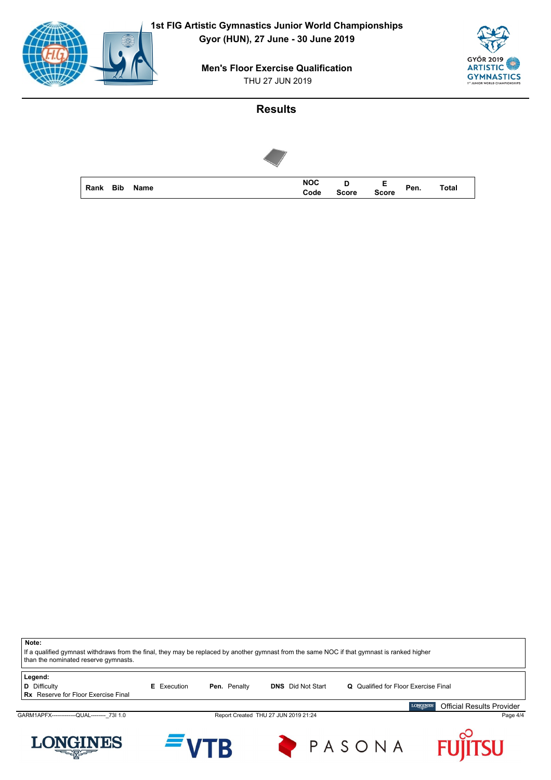



## **Results**



| Note:                                                                                                                                       |                    |              |                                      |                                             |                                                     |
|---------------------------------------------------------------------------------------------------------------------------------------------|--------------------|--------------|--------------------------------------|---------------------------------------------|-----------------------------------------------------|
| If a qualified gymnast withdraws from the final, they may be replaced by another gymnast from the same NOC if that gymnast is ranked higher |                    |              |                                      |                                             |                                                     |
| than the nominated reserve gymnasts.                                                                                                        |                    |              |                                      |                                             |                                                     |
|                                                                                                                                             |                    |              |                                      |                                             |                                                     |
| Legend:                                                                                                                                     |                    |              |                                      |                                             |                                                     |
| <b>D</b> Difficulty                                                                                                                         | <b>E</b> Execution | Pen. Penalty | <b>DNS</b> Did Not Start             | <b>Q</b> Qualified for Floor Exercise Final |                                                     |
| <b>Rx</b> Reserve for Floor Exercise Final                                                                                                  |                    |              |                                      |                                             |                                                     |
|                                                                                                                                             |                    |              |                                      |                                             | <b>LONGINES</b><br><b>Official Results Provider</b> |
| GARM1APFX--------------QUAL-------- 73I 1.0                                                                                                 |                    |              | Report Created THU 27 JUN 2019 21:24 |                                             | Page 4/4                                            |
|                                                                                                                                             |                    |              |                                      |                                             |                                                     |
|                                                                                                                                             |                    |              |                                      |                                             | <b>FUJITSU</b>                                      |
| <b>LONGINES</b>                                                                                                                             | $=$ VTR            |              |                                      | PASONA                                      |                                                     |
| 트센트                                                                                                                                         |                    |              |                                      |                                             |                                                     |
|                                                                                                                                             |                    |              |                                      |                                             |                                                     |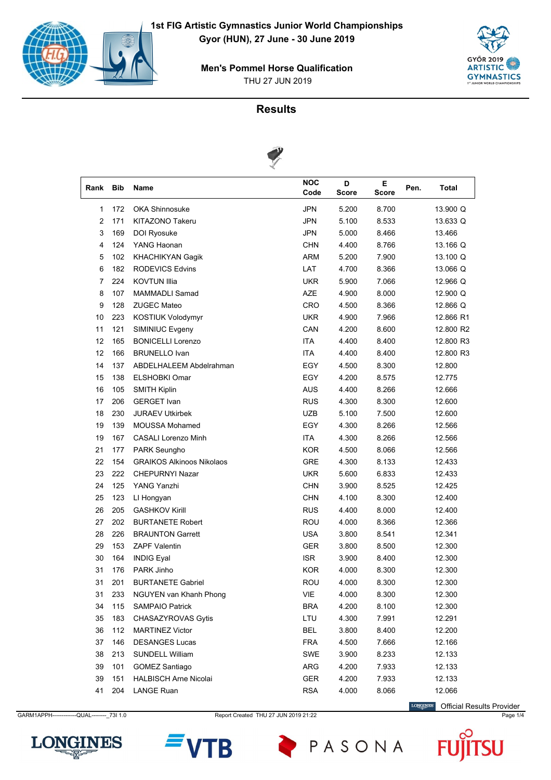



### **Results**



| Rank           | <b>Bib</b> | Name                             | <b>NOC</b><br>Code | D<br><b>Score</b> | Е.<br><b>Score</b> | Pen. | Total     |
|----------------|------------|----------------------------------|--------------------|-------------------|--------------------|------|-----------|
| 1              | 172        | <b>OKA Shinnosuke</b>            | <b>JPN</b>         | 5.200             | 8.700              |      | 13.900 Q  |
| $\overline{2}$ | 171        | KITAZONO Takeru                  | <b>JPN</b>         | 5.100             | 8.533              |      | 13.633 Q  |
| 3              | 169        | DOI Ryosuke                      | <b>JPN</b>         | 5.000             | 8.466              |      | 13.466    |
| 4              | 124        | YANG Haonan                      | <b>CHN</b>         | 4.400             | 8.766              |      | 13.166 Q  |
| 5              | 102        | <b>KHACHIKYAN Gagik</b>          | <b>ARM</b>         | 5.200             | 7.900              |      | 13.100 Q  |
| 6              | 182        | <b>RODEVICS Edvins</b>           | LAT                | 4.700             | 8.366              |      | 13.066 Q  |
| 7              | 224        | <b>KOVTUN Illia</b>              | <b>UKR</b>         | 5.900             | 7.066              |      | 12.966 Q  |
| 8              | 107        | <b>MAMMADLI Samad</b>            | AZE                | 4.900             | 8.000              |      | 12.900 Q  |
| 9              | 128        | <b>ZUGEC Mateo</b>               | CRO                | 4.500             | 8.366              |      | 12.866 Q  |
| 10             | 223        | <b>KOSTIUK Volodymyr</b>         | <b>UKR</b>         | 4.900             | 7.966              |      | 12.866 R1 |
| 11             | 121        | SIMINIUC Evgeny                  | CAN                | 4.200             | 8.600              |      | 12.800 R2 |
| 12             | 165        | <b>BONICELLI Lorenzo</b>         | <b>ITA</b>         | 4.400             | 8.400              |      | 12.800 R3 |
| 12             | 166        | <b>BRUNELLO Ivan</b>             | <b>ITA</b>         | 4.400             | 8.400              |      | 12.800 R3 |
| 14             | 137        | ABDELHALEEM Abdelrahman          | EGY                | 4.500             | 8.300              |      | 12.800    |
| 15             | 138        | <b>ELSHOBKI Omar</b>             | EGY                | 4.200             | 8.575              |      | 12.775    |
| 16             | 105        | <b>SMITH Kiplin</b>              | <b>AUS</b>         | 4.400             | 8.266              |      | 12.666    |
| 17             | 206        | <b>GERGET Ivan</b>               | <b>RUS</b>         | 4.300             | 8.300              |      | 12.600    |
| 18             | 230        | <b>JURAEV Utkirbek</b>           | UZB                | 5.100             | 7.500              |      | 12.600    |
| 19             | 139        | <b>MOUSSA Mohamed</b>            | EGY                | 4.300             | 8.266              |      | 12.566    |
| 19             | 167        | <b>CASALI Lorenzo Minh</b>       | <b>ITA</b>         | 4.300             | 8.266              |      | 12.566    |
| 21             | 177        | PARK Seungho                     | <b>KOR</b>         | 4.500             | 8.066              |      | 12.566    |
| 22             | 154        | <b>GRAIKOS Alkinoos Nikolaos</b> | <b>GRE</b>         | 4.300             | 8.133              |      | 12.433    |
| 23             | 222        | <b>CHEPURNYI Nazar</b>           | <b>UKR</b>         | 5.600             | 6.833              |      | 12.433    |
| 24             | 125        | YANG Yanzhi                      | <b>CHN</b>         | 3.900             | 8.525              |      | 12.425    |
| 25             | 123        | LI Hongyan                       | <b>CHN</b>         | 4.100             | 8.300              |      | 12.400    |
| 26             | 205        | <b>GASHKOV Kirill</b>            | <b>RUS</b>         | 4.400             | 8.000              |      | 12.400    |
| 27             | 202        | <b>BURTANETE Robert</b>          | ROU                | 4.000             | 8.366              |      | 12.366    |
| 28             | 226        | <b>BRAUNTON Garrett</b>          | <b>USA</b>         | 3.800             | 8.541              |      | 12.341    |
| 29             | 153        | <b>ZAPF Valentin</b>             | <b>GER</b>         | 3.800             | 8.500              |      | 12.300    |
| 30             | 164        | <b>INDIG Eyal</b>                | ISR.               | 3.900             | 8.400              |      | 12.300    |
| 31             | 176        | PARK Jinho                       | <b>KOR</b>         | 4.000             | 8.300              |      | 12.300    |
| 31             | 201        | <b>BURTANETE Gabriel</b>         | ROU                | 4.000             | 8.300              |      | 12.300    |
| 31             | 233        | NGUYEN van Khanh Phong           | VIE                | 4.000             | 8.300              |      | 12.300    |
| 34             | 115        | <b>SAMPAIO Patrick</b>           | <b>BRA</b>         | 4.200             | 8.100              |      | 12.300    |
| 35             | 183        | CHASAZYROVAS Gytis               | LTU                | 4.300             | 7.991              |      | 12.291    |
| 36             | 112        | <b>MARTINEZ Victor</b>           | <b>BEL</b>         | 3.800             | 8.400              |      | 12.200    |
| 37             | 146        | <b>DESANGES Lucas</b>            | <b>FRA</b>         | 4.500             | 7.666              |      | 12.166    |
| 38             | 213        | SUNDELL William                  | SWE                | 3.900             | 8.233              |      | 12.133    |
| 39             | 101        | <b>GOMEZ Santiago</b>            | ARG                | 4.200             | 7.933              |      | 12.133    |
| 39             | 151        | <b>HALBISCH Arne Nicolai</b>     | GER                | 4.200             | 7.933              |      | 12.133    |
| 41             | 204        | <b>LANGE Ruan</b>                | <b>RSA</b>         | 4.000             | 8.066              |      | 12.066    |

GARM1APPH------------QUAL--------- 73I 1.0 Report Created THU 27 JUN 2019 21:22 Page 1/4 Page 1/4

LONGINES Official Results Provider







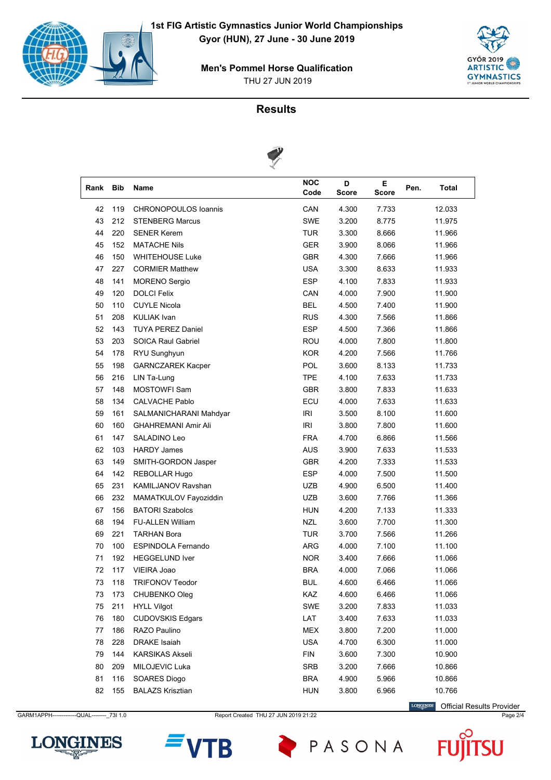



### **Results**



| Rank | <b>Bib</b> | Name                        | <b>NOC</b><br>Code | D<br><b>Score</b> | Е<br><b>Score</b> | Pen. | <b>Total</b> |
|------|------------|-----------------------------|--------------------|-------------------|-------------------|------|--------------|
| 42   | 119        | <b>CHRONOPOULOS loannis</b> | CAN                | 4.300             | 7.733             |      | 12.033       |
| 43   | 212        | <b>STENBERG Marcus</b>      | <b>SWE</b>         | 3.200             | 8.775             |      | 11.975       |
| 44   | 220        | <b>SENER Kerem</b>          | <b>TUR</b>         | 3.300             | 8.666             |      | 11.966       |
| 45   | 152        | <b>MATACHE Nils</b>         | <b>GER</b>         | 3.900             | 8.066             |      | 11.966       |
| 46   | 150        | <b>WHITEHOUSE Luke</b>      | <b>GBR</b>         | 4.300             | 7.666             |      | 11.966       |
| 47   | 227        | <b>CORMIER Matthew</b>      | <b>USA</b>         | 3.300             | 8.633             |      | 11.933       |
| 48   | 141        | <b>MORENO Sergio</b>        | <b>ESP</b>         | 4.100             | 7.833             |      | 11.933       |
| 49   | 120        | <b>DOLCI Felix</b>          | CAN                | 4.000             | 7.900             |      | 11.900       |
| 50   | 110        | <b>CUYLE Nicola</b>         | <b>BEL</b>         | 4.500             | 7.400             |      | 11.900       |
| 51   | 208        | <b>KULIAK Ivan</b>          | <b>RUS</b>         | 4.300             | 7.566             |      | 11.866       |
| 52   | 143        | <b>TUYA PEREZ Daniel</b>    | <b>ESP</b>         | 4.500             | 7.366             |      | 11.866       |
| 53   | 203        | <b>SOICA Raul Gabriel</b>   | ROU                | 4.000             | 7.800             |      | 11.800       |
| 54   | 178        | RYU Sunghyun                | <b>KOR</b>         | 4.200             | 7.566             |      | 11.766       |
| 55   | 198        | <b>GARNCZAREK Kacper</b>    | POL                | 3.600             | 8.133             |      | 11.733       |
| 56   | 216        | LIN Ta-Lung                 | <b>TPE</b>         | 4.100             | 7.633             |      | 11.733       |
| 57   | 148        | <b>MOSTOWFI Sam</b>         | <b>GBR</b>         | 3.800             | 7.833             |      | 11.633       |
| 58   | 134        | <b>CALVACHE Pablo</b>       | ECU                | 4.000             | 7.633             |      | 11.633       |
| 59   | 161        | SALMANICHARANI Mahdyar      | IRI                | 3.500             | 8.100             |      | 11.600       |
| 60   | 160        | <b>GHAHREMANI Amir Ali</b>  | IRI                | 3.800             | 7.800             |      | 11.600       |
| 61   | 147        | SALADINO Leo                | <b>FRA</b>         | 4.700             | 6.866             |      | 11.566       |
| 62   | 103        | <b>HARDY James</b>          | <b>AUS</b>         | 3.900             | 7.633             |      | 11.533       |
| 63   | 149        | SMITH-GORDON Jasper         | <b>GBR</b>         | 4.200             | 7.333             |      | 11.533       |
| 64   | 142        | REBOLLAR Hugo               | <b>ESP</b>         | 4.000             | 7.500             |      | 11.500       |
| 65   | 231        | KAMILJANOV Ravshan          | UZB                | 4.900             | 6.500             |      | 11.400       |
| 66   | 232        | MAMATKULOV Fayoziddin       | UZB                | 3.600             | 7.766             |      | 11.366       |
| 67   | 156        | <b>BATORI Szabolcs</b>      | <b>HUN</b>         | 4.200             | 7.133             |      | 11.333       |
| 68   | 194        | <b>FU-ALLEN William</b>     | <b>NZL</b>         | 3.600             | 7.700             |      | 11.300       |
| 69   | 221        | <b>TARHAN Bora</b>          | <b>TUR</b>         | 3.700             | 7.566             |      | 11.266       |
| 70   | 100        | <b>ESPINDOLA Fernando</b>   | <b>ARG</b>         | 4.000             | 7.100             |      | 11.100       |
| 71   | 192        | <b>HEGGELUND Iver</b>       | <b>NOR</b>         | 3.400             | 7.666             |      | 11.066       |
| 72   | 117        | VIEIRA Joao                 | <b>BRA</b>         | 4.000             | 7.066             |      | 11.066       |
| 73   | 118        | <b>TRIFONOV Teodor</b>      | <b>BUL</b>         | 4.600             | 6.466             |      | 11.066       |
| 73   | 173        | CHUBENKO Oleg               | KAZ                | 4.600             | 6.466             |      | 11.066       |
| 75   | 211        | <b>HYLL Vilgot</b>          | SWE                | 3.200             | 7.833             |      | 11.033       |
| 76   | 180        | <b>CUDOVSKIS Edgars</b>     | LAT                | 3.400             | 7.633             |      | 11.033       |
| 77   | 186        | RAZO Paulino                | <b>MEX</b>         | 3.800             | 7.200             |      | 11.000       |
| 78   | 228        | DRAKE Isaiah                | <b>USA</b>         | 4.700             | 6.300             |      | 11.000       |
| 79   | 144        | <b>KARSIKAS Akseli</b>      | <b>FIN</b>         | 3.600             | 7.300             |      | 10.900       |
| 80   | 209        | MILOJEVIC Luka              | SRB                | 3.200             | 7.666             |      | 10.866       |
| 81   | 116        | SOARES Diogo                | <b>BRA</b>         | 4.900             | 5.966             |      | 10.866       |
| 82   | 155        | <b>BALAZS Krisztian</b>     | <b>HUN</b>         | 3.800             | 6.966             |      | 10.766       |

CARM1APPH------------QUAL--------- 73I 1.0 Report Created THU 27 JUN 2019 21:22 Page 2/4 Page 2/4

LONGINES Official Results Provider





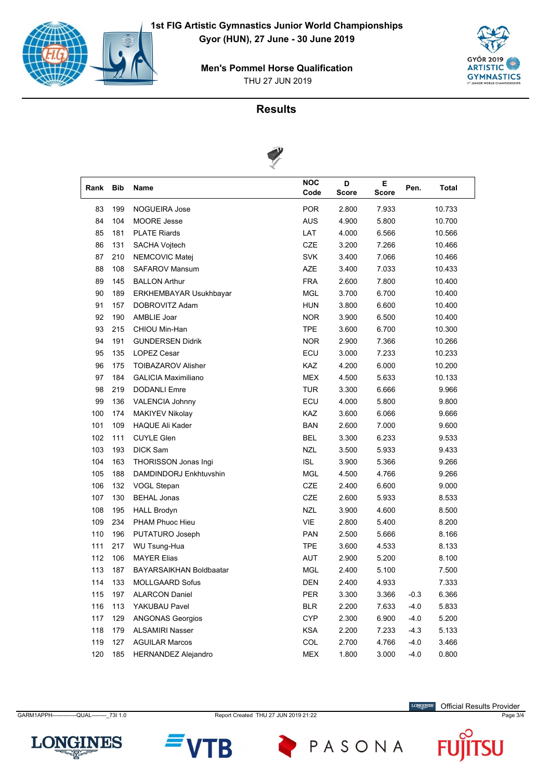



### **Results**



| Rank | <b>Bib</b> | Name                           | <b>NOC</b><br>Code | D<br><b>Score</b> | Е.<br><b>Score</b> | Pen.   | Total  |
|------|------------|--------------------------------|--------------------|-------------------|--------------------|--------|--------|
| 83   | 199        | <b>NOGUEIRA Jose</b>           | <b>POR</b>         | 2.800             | 7.933              |        | 10.733 |
| 84   | 104        | <b>MOORE Jesse</b>             | <b>AUS</b>         | 4.900             | 5.800              |        | 10.700 |
| 85   | 181        | <b>PLATE Riards</b>            | LAT                | 4.000             | 6.566              |        | 10.566 |
| 86   | 131        | SACHA Vojtech                  | <b>CZE</b>         | 3.200             | 7.266              |        | 10.466 |
| 87   | 210        | NEMCOVIC Matej                 | <b>SVK</b>         | 3.400             | 7.066              |        | 10.466 |
| 88   | 108        | <b>SAFAROV Mansum</b>          | AZE                | 3.400             | 7.033              |        | 10.433 |
| 89   | 145        | <b>BALLON Arthur</b>           | <b>FRA</b>         | 2.600             | 7.800              |        | 10.400 |
| 90   | 189        | ERKHEMBAYAR Usukhbayar         | <b>MGL</b>         | 3.700             | 6.700              |        | 10.400 |
| 91   | 157        | DOBROVITZ Adam                 | <b>HUN</b>         | 3.800             | 6.600              |        | 10.400 |
| 92   | 190        | AMBLIE Joar                    | <b>NOR</b>         | 3.900             | 6.500              |        | 10.400 |
| 93   | 215        | CHIOU Min-Han                  | <b>TPE</b>         | 3.600             | 6.700              |        | 10.300 |
| 94   | 191        | <b>GUNDERSEN Didrik</b>        | <b>NOR</b>         | 2.900             | 7.366              |        | 10.266 |
| 95   | 135        | <b>LOPEZ Cesar</b>             | ECU                | 3.000             | 7.233              |        | 10.233 |
| 96   | 175        | <b>TOIBAZAROV Alisher</b>      | KAZ                | 4.200             | 6.000              |        | 10.200 |
| 97   | 184        | <b>GALICIA Maximiliano</b>     | <b>MEX</b>         | 4.500             | 5.633              |        | 10.133 |
| 98   | 219        | <b>DODANLI Emre</b>            | <b>TUR</b>         | 3.300             | 6.666              |        | 9.966  |
| 99   | 136        | <b>VALENCIA Johnny</b>         | ECU                | 4.000             | 5.800              |        | 9.800  |
| 100  | 174        | <b>MAKIYEV Nikolay</b>         | <b>KAZ</b>         | 3.600             | 6.066              |        | 9.666  |
| 101  | 109        | <b>HAQUE Ali Kader</b>         | <b>BAN</b>         | 2.600             | 7.000              |        | 9.600  |
| 102  | 111        | <b>CUYLE Glen</b>              | <b>BEL</b>         | 3.300             | 6.233              |        | 9.533  |
| 103  | 193        | <b>DICK Sam</b>                | <b>NZL</b>         | 3.500             | 5.933              |        | 9.433  |
| 104  | 163        | THORISSON Jonas Ingi           | <b>ISL</b>         | 3.900             | 5.366              |        | 9.266  |
| 105  | 188        | DAMDINDORJ Enkhtuvshin         | <b>MGL</b>         | 4.500             | 4.766              |        | 9.266  |
| 106  | 132        | VOGL Stepan                    | CZE                | 2.400             | 6.600              |        | 9.000  |
| 107  | 130        | <b>BEHAL Jonas</b>             | CZE                | 2.600             | 5.933              |        | 8.533  |
| 108  | 195        | <b>HALL Brodyn</b>             | <b>NZL</b>         | 3.900             | 4.600              |        | 8.500  |
| 109  | 234        | PHAM Phuoc Hieu                | VIE                | 2.800             | 5.400              |        | 8.200  |
| 110  | 196        | PUTATURO Joseph                | <b>PAN</b>         | 2.500             | 5.666              |        | 8.166  |
| 111  | 217        | WU Tsung-Hua                   | <b>TPE</b>         | 3.600             | 4.533              |        | 8.133  |
| 112  | 106        | <b>MAYER Elias</b>             | <b>AUT</b>         | 2.900             | 5.200              |        | 8.100  |
| 113  | 187        | <b>BAYARSAIKHAN Boldbaatar</b> | <b>MGL</b>         | 2.400             | 5.100              |        | 7.500  |
| 114  | 133        | <b>MOLLGAARD Sofus</b>         | DEN                | 2.400             | 4.933              |        | 7.333  |
| 115  | 197        | <b>ALARCON Daniel</b>          | PER                | 3.300             | 3.366              | $-0.3$ | 6.366  |
| 116  | 113        | YAKUBAU Pavel                  | <b>BLR</b>         | 2.200             | 7.633              | $-4.0$ | 5.833  |
| 117  | 129        | <b>ANGONAS Georgios</b>        | <b>CYP</b>         | 2.300             | 6.900              | $-4.0$ | 5.200  |
| 118  | 179        | <b>ALSAMIRI Nasser</b>         | KSA                | 2.200             | 7.233              | $-4.3$ | 5.133  |
| 119  | 127        | <b>AGUILAR Marcos</b>          | COL                | 2.700             | 4.766              | $-4.0$ | 3.466  |
| 120  | 185        | <b>HERNANDEZ Alejandro</b>     | MEX                | 1.800             | 3.000              | $-4.0$ | 0.800  |

CARM1APPH------------QUAL--------- 73I 1.0 Report Created THU 27 JUN 2019 21:22 Page 3/4

LONGINES Official Results Provider





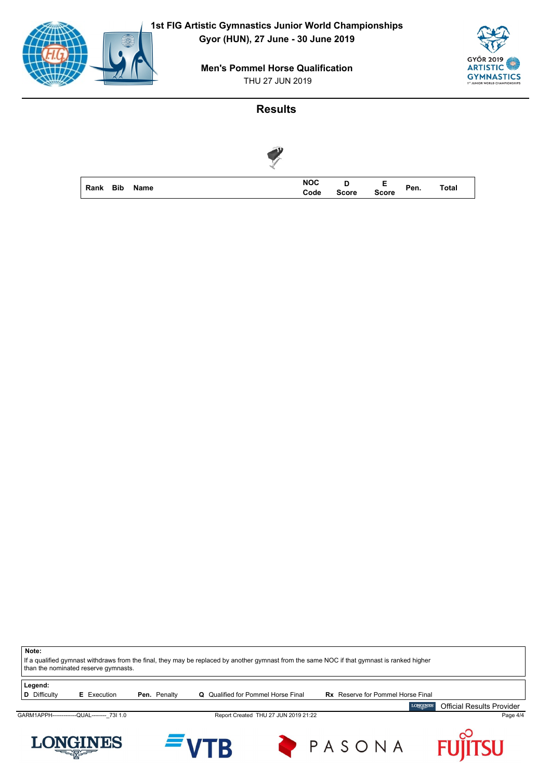



#### **Results**

| Rank Bib Name |  |  | NOC D E<br>Code Score Score Pen. |  | <b>Total</b> |
|---------------|--|--|----------------------------------|--|--------------|

**Note:** If a qualified gymnast withdraws from the final, they may be replaced by another gymnast from the same NOC if that gymnast is ranked higher than the nominated reserve gymnasts. **Legend:**<br>**D** Difficulty **E** Execution **Pen.** Penalty **Q** Qualified for Pommel Horse Final **Rx** Reserve for Pommel Horse Final **LONGINES** Official Results ProviderGARM1APPH-------------QUAL---------\_73I 1.0 Report Created THU 27 JUN 2019 21:22 Page 4/4 U





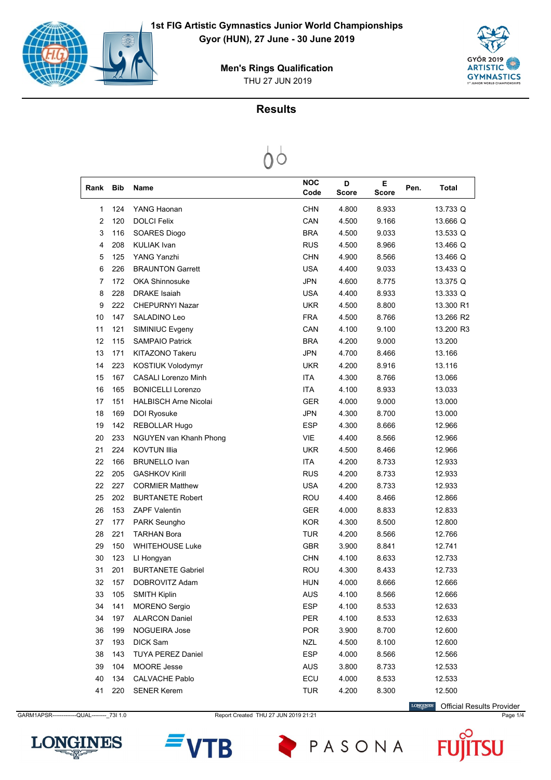

THU 27 JUN 2019 **Men's Rings Qualification**

## **Results**



| Rank           | <b>Bib</b> | Name                         | <b>NOC</b><br>Code | D<br><b>Score</b> | Е<br><b>Score</b> | Pen. | <b>Total</b> |
|----------------|------------|------------------------------|--------------------|-------------------|-------------------|------|--------------|
| 1              | 124        | YANG Haonan                  | CHN                | 4.800             | 8.933             |      | 13.733 Q     |
| $\overline{2}$ | 120        | <b>DOLCI Felix</b>           | CAN                | 4.500             | 9.166             |      | 13.666 Q     |
| 3              | 116        | SOARES Diogo                 | <b>BRA</b>         | 4.500             | 9.033             |      | 13.533 Q     |
| 4              | 208        | <b>KULIAK Ivan</b>           | <b>RUS</b>         | 4.500             | 8.966             |      | 13.466 Q     |
| 5              | 125        | YANG Yanzhi                  | CHN                | 4.900             | 8.566             |      | 13.466 Q     |
| 6              | 226        | <b>BRAUNTON Garrett</b>      | <b>USA</b>         | 4.400             | 9.033             |      | 13.433 Q     |
| 7              | 172        | <b>OKA Shinnosuke</b>        | <b>JPN</b>         | 4.600             | 8.775             |      | 13.375 Q     |
| 8              | 228        | <b>DRAKE</b> Isaiah          | <b>USA</b>         | 4.400             | 8.933             |      | 13.333 Q     |
| 9              | 222        | <b>CHEPURNYI Nazar</b>       | UKR.               | 4.500             | 8.800             |      | 13.300 R1    |
| 10             | 147        | SALADINO Leo                 | <b>FRA</b>         | 4.500             | 8.766             |      | 13.266 R2    |
| 11             | 121        | SIMINIUC Evgeny              | CAN                | 4.100             | 9.100             |      | 13.200 R3    |
| 12             | 115        | <b>SAMPAIO Patrick</b>       | <b>BRA</b>         | 4.200             | 9.000             |      | 13.200       |
| 13             | 171        | <b>KITAZONO Takeru</b>       | <b>JPN</b>         | 4.700             | 8.466             |      | 13.166       |
| 14             | 223        | KOSTIUK Volodymyr            | UKR                | 4.200             | 8.916             |      | 13.116       |
| 15             | 167        | <b>CASALI Lorenzo Minh</b>   | <b>ITA</b>         | 4.300             | 8.766             |      | 13.066       |
| 16             | 165        | <b>BONICELLI Lorenzo</b>     | <b>ITA</b>         | 4.100             | 8.933             |      | 13.033       |
| 17             | 151        | <b>HALBISCH Arne Nicolai</b> | GER                | 4.000             | 9.000             |      | 13.000       |
| 18             | 169        | DOI Ryosuke                  | <b>JPN</b>         | 4.300             | 8.700             |      | 13.000       |
| 19             | 142        | REBOLLAR Hugo                | <b>ESP</b>         | 4.300             | 8.666             |      | 12.966       |
| 20             | 233        | NGUYEN van Khanh Phong       | <b>VIE</b>         | 4.400             | 8.566             |      | 12.966       |
| 21             | 224        | <b>KOVTUN Illia</b>          | <b>UKR</b>         | 4.500             | 8.466             |      | 12.966       |
| 22             | 166        | <b>BRUNELLO Ivan</b>         | <b>ITA</b>         | 4.200             | 8.733             |      | 12.933       |
| 22             | 205        | <b>GASHKOV Kirill</b>        | <b>RUS</b>         | 4.200             | 8.733             |      | 12.933       |
| 22             | 227        | <b>CORMIER Matthew</b>       | <b>USA</b>         | 4.200             | 8.733             |      | 12.933       |
| 25             | 202        | <b>BURTANETE Robert</b>      | ROU                | 4.400             | 8.466             |      | 12.866       |
| 26             | 153        | <b>ZAPF Valentin</b>         | GER                | 4.000             | 8.833             |      | 12.833       |
| 27             | 177        | PARK Seungho                 | KOR                | 4.300             | 8.500             |      | 12.800       |
| 28             | 221        | <b>TARHAN Bora</b>           | TUR                | 4.200             | 8.566             |      | 12.766       |
| 29             | 150        | <b>WHITEHOUSE Luke</b>       | GBR                | 3.900             | 8.841             |      | 12.741       |
| 30             | 123        | LI Hongyan                   | <b>CHN</b>         | 4.100             | 8.633             |      | 12.733       |
| 31             | 201        | <b>BURTANETE Gabriel</b>     | ROU                | 4.300             | 8.433             |      | 12.733       |
| 32             | 157        | DOBROVITZ Adam               | <b>HUN</b>         | 4.000             | 8.666             |      | 12.666       |
| 33             | 105        | <b>SMITH Kiplin</b>          | <b>AUS</b>         | 4.100             | 8.566             |      | 12.666       |
| 34             | 141        | <b>MORENO</b> Sergio         | ESP                | 4.100             | 8.533             |      | 12.633       |
| 34             | 197        | <b>ALARCON Daniel</b>        | PER                | 4.100             | 8.533             |      | 12.633       |
| 36             | 199        | NOGUEIRA Jose                | <b>POR</b>         | 3.900             | 8.700             |      | 12.600       |
| 37             | 193        | DICK Sam                     | <b>NZL</b>         | 4.500             | 8.100             |      | 12.600       |
| 38             | 143        | <b>TUYA PEREZ Daniel</b>     | <b>ESP</b>         | 4.000             | 8.566             |      | 12.566       |
| 39             | 104        | MOORE Jesse                  | AUS                | 3.800             | 8.733             |      | 12.533       |
| 40             | 134        | <b>CALVACHE Pablo</b>        | ECU                | 4.000             | 8.533             |      | 12.533       |
| 41             | 220        | <b>SENER Kerem</b>           | <b>TUR</b>         | 4.200             | 8.300             |      | 12.500       |
|                |            |                              |                    |                   |                   |      |              |

GARM1APSR------------QUAL---------\_73I 1.0 Report Created THU 27 JUN 2019 21:21 Page 1/4 Page 1/4

**LONGINES** Official Results Provider

 $\bm{\mathsf F}$ 

**JU** 



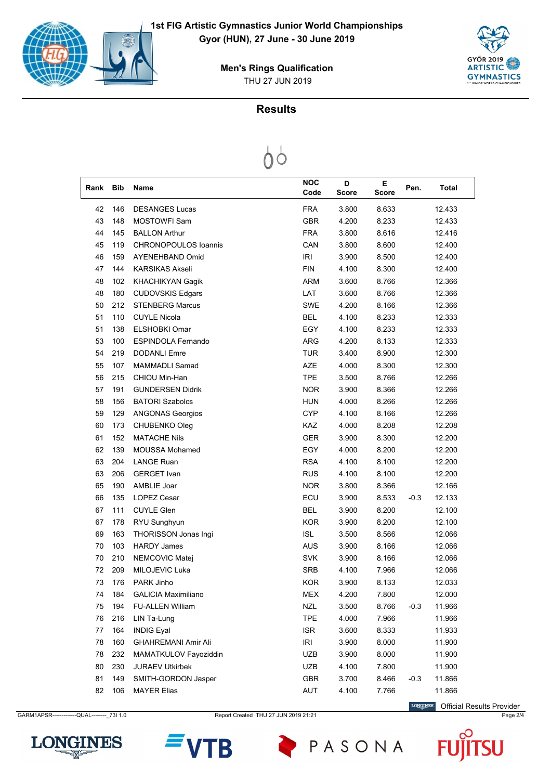

THU 27 JUN 2019 **Men's Rings Qualification**

## **Results**



| Rank | <b>Bib</b> | Name                        | <b>NOC</b><br>Code | D<br><b>Score</b> | Е<br><b>Score</b> | Pen.   | <b>Total</b> |
|------|------------|-----------------------------|--------------------|-------------------|-------------------|--------|--------------|
| 42   | 146        | <b>DESANGES Lucas</b>       | <b>FRA</b>         | 3.800             | 8.633             |        | 12.433       |
| 43   | 148        | <b>MOSTOWFI Sam</b>         | <b>GBR</b>         | 4.200             | 8.233             |        | 12.433       |
| 44   | 145        | <b>BALLON Arthur</b>        | <b>FRA</b>         | 3.800             | 8.616             |        | 12.416       |
| 45   | 119        | <b>CHRONOPOULOS loannis</b> | CAN                | 3.800             | 8.600             |        | 12.400       |
| 46   | 159        | AYENEHBAND Omid             | IRI                | 3.900             | 8.500             |        | 12.400       |
| 47   | 144        | <b>KARSIKAS Akseli</b>      | <b>FIN</b>         | 4.100             | 8.300             |        | 12.400       |
| 48   | 102        | <b>KHACHIKYAN Gagik</b>     | <b>ARM</b>         | 3.600             | 8.766             |        | 12.366       |
| 48   | 180        | <b>CUDOVSKIS Edgars</b>     | LAT                | 3.600             | 8.766             |        | 12.366       |
| 50   | 212        | <b>STENBERG Marcus</b>      | SWE                | 4.200             | 8.166             |        | 12.366       |
| 51   | 110        | <b>CUYLE Nicola</b>         | <b>BEL</b>         | 4.100             | 8.233             |        | 12.333       |
| 51   | 138        | <b>ELSHOBKI Omar</b>        | EGY                | 4.100             | 8.233             |        | 12.333       |
| 53   | 100        | <b>ESPINDOLA Fernando</b>   | ARG                | 4.200             | 8.133             |        | 12.333       |
| 54   | 219        | <b>DODANLI Emre</b>         | <b>TUR</b>         | 3.400             | 8.900             |        | 12.300       |
| 55   | 107        | MAMMADLI Samad              | AZE                | 4.000             | 8.300             |        | 12.300       |
| 56   | 215        | CHIOU Min-Han               | <b>TPE</b>         | 3.500             | 8.766             |        | 12.266       |
| 57   | 191        | <b>GUNDERSEN Didrik</b>     | <b>NOR</b>         | 3.900             | 8.366             |        | 12.266       |
| 58   | 156        | <b>BATORI Szabolcs</b>      | <b>HUN</b>         | 4.000             | 8.266             |        | 12.266       |
| 59   | 129        | <b>ANGONAS Georgios</b>     | <b>CYP</b>         | 4.100             | 8.166             |        | 12.266       |
| 60   | 173        | CHUBENKO Oleg               | <b>KAZ</b>         | 4.000             | 8.208             |        | 12.208       |
| 61   | 152        | <b>MATACHE Nils</b>         | <b>GER</b>         | 3.900             | 8.300             |        | 12.200       |
| 62   | 139        | <b>MOUSSA Mohamed</b>       | EGY                | 4.000             | 8.200             |        | 12.200       |
| 63   | 204        | <b>LANGE Ruan</b>           | <b>RSA</b>         | 4.100             | 8.100             |        | 12.200       |
| 63   | 206        | <b>GERGET Ivan</b>          | <b>RUS</b>         | 4.100             | 8.100             |        | 12.200       |
| 65   | 190        | AMBLIE Joar                 | <b>NOR</b>         | 3.800             | 8.366             |        | 12.166       |
| 66   | 135        | <b>LOPEZ Cesar</b>          | ECU                | 3.900             | 8.533             | $-0.3$ | 12.133       |
| 67   | 111        | <b>CUYLE Glen</b>           | <b>BEL</b>         | 3.900             | 8.200             |        | 12.100       |
| 67   | 178        | RYU Sunghyun                | <b>KOR</b>         | 3.900             | 8.200             |        | 12.100       |
| 69   | 163        | THORISSON Jonas Ingi        | <b>ISL</b>         | 3.500             | 8.566             |        | 12.066       |
| 70   | 103        | <b>HARDY James</b>          | <b>AUS</b>         | 3.900             | 8.166             |        | 12.066       |
| 70   | 210        | NEMCOVIC Matej              | <b>SVK</b>         | 3.900             | 8.166             |        | 12.066       |
| 72   | 209        | MILOJEVIC Luka              | <b>SRB</b>         | 4.100             | 7.966             |        | 12.066       |
| 73   | 176        | PARK Jinho                  | <b>KOR</b>         | 3.900             | 8.133             |        | 12.033       |
| 74   | 184        | <b>GALICIA Maximiliano</b>  | MEX                | 4.200             | 7.800             |        | 12.000       |
| 75   | 194        | <b>FU-ALLEN William</b>     | <b>NZL</b>         | 3.500             | 8.766             | $-0.3$ | 11.966       |
| 76   | 216        | LIN Ta-Lung                 | <b>TPE</b>         | 4.000             | 7.966             |        | 11.966       |
| 77   | 164        | <b>INDIG Eyal</b>           | <b>ISR</b>         | 3.600             | 8.333             |        | 11.933       |
| 78   | 160        | <b>GHAHREMANI Amir Ali</b>  | IRI                | 3.900             | 8.000             |        | 11.900       |
| 78   | 232        | MAMATKULOV Fayoziddin       | UZB                | 3.900             | 8.000             |        | 11.900       |
| 80   | 230        | <b>JURAEV Utkirbek</b>      | <b>UZB</b>         | 4.100             | 7.800             |        | 11.900       |
| 81   | 149        | SMITH-GORDON Jasper         | <b>GBR</b>         | 3.700             | 8.466             | $-0.3$ | 11.866       |
| 82   | 106        | <b>MAYER Elias</b>          | AUT                | 4.100             | 7.766             |        | 11.866       |
|      |            |                             |                    |                   |                   |        |              |

GARM1APSR------------QUAL---------\_73I 1.0 Report Created THU 27 JUN 2019 21:21 Page 2/4 Page 2/4

**LONGINES** Official Results Provider







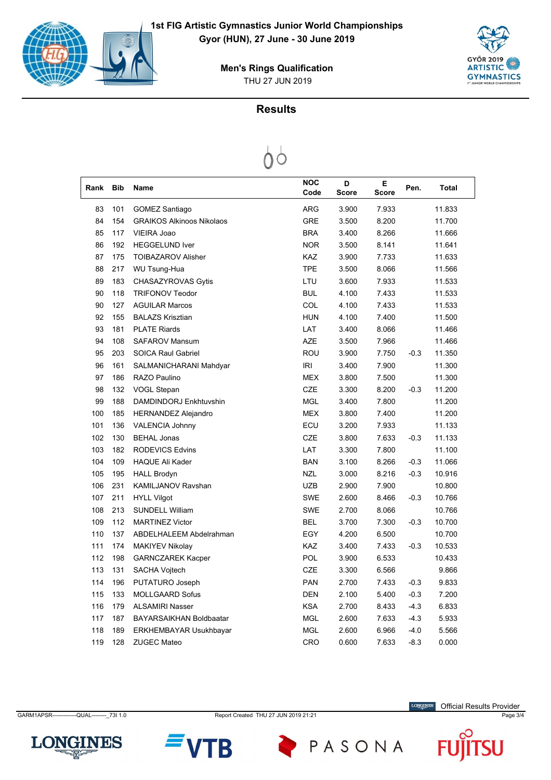

THU 27 JUN 2019 **Men's Rings Qualification**

## **Results**

 $0^{\circ}$ 

| Rank | <b>Bib</b> | Name                             | <b>NOC</b><br>Code | D<br><b>Score</b> | Е<br><b>Score</b> | Pen.   | <b>Total</b> |
|------|------------|----------------------------------|--------------------|-------------------|-------------------|--------|--------------|
| 83   | 101        | <b>GOMEZ Santiago</b>            | <b>ARG</b>         | 3.900             | 7.933             |        | 11.833       |
| 84   | 154        | <b>GRAIKOS Alkinoos Nikolaos</b> | <b>GRE</b>         | 3.500             | 8.200             |        | 11.700       |
| 85   | 117        | VIEIRA Joao                      | <b>BRA</b>         | 3.400             | 8.266             |        | 11.666       |
| 86   | 192        | <b>HEGGELUND Iver</b>            | <b>NOR</b>         | 3.500             | 8.141             |        | 11.641       |
| 87   | 175        | <b>TOIBAZAROV Alisher</b>        | KAZ                | 3.900             | 7.733             |        | 11.633       |
| 88   | 217        | WU Tsung-Hua                     | <b>TPE</b>         | 3.500             | 8.066             |        | 11.566       |
| 89   | 183        | CHASAZYROVAS Gytis               | LTU                | 3.600             | 7.933             |        | 11.533       |
| 90   | 118        | <b>TRIFONOV Teodor</b>           | <b>BUL</b>         | 4.100             | 7.433             |        | 11.533       |
| 90   | 127        | <b>AGUILAR Marcos</b>            | COL                | 4.100             | 7.433             |        | 11.533       |
| 92   | 155        | <b>BALAZS Krisztian</b>          | <b>HUN</b>         | 4.100             | 7.400             |        | 11.500       |
| 93   | 181        | <b>PLATE Riards</b>              | LAT                | 3.400             | 8.066             |        | 11.466       |
| 94   | 108        | <b>SAFAROV Mansum</b>            | <b>AZE</b>         | 3.500             | 7.966             |        | 11.466       |
| 95   | 203        | <b>SOICA Raul Gabriel</b>        | ROU                | 3.900             | 7.750             | $-0.3$ | 11.350       |
| 96   | 161        | SALMANICHARANI Mahdyar           | <b>IRI</b>         | 3.400             | 7.900             |        | 11.300       |
| 97   | 186        | RAZO Paulino                     | <b>MEX</b>         | 3.800             | 7.500             |        | 11.300       |
| 98   | 132        | <b>VOGL Stepan</b>               | <b>CZE</b>         | 3.300             | 8.200             | $-0.3$ | 11.200       |
| 99   | 188        | DAMDINDORJ Enkhtuvshin           | <b>MGL</b>         | 3.400             | 7.800             |        | 11.200       |
| 100  | 185        | <b>HERNANDEZ Alejandro</b>       | <b>MEX</b>         | 3.800             | 7.400             |        | 11.200       |
| 101  | 136        | <b>VALENCIA Johnny</b>           | ECU                | 3.200             | 7.933             |        | 11.133       |
| 102  | 130        | <b>BEHAL Jonas</b>               | <b>CZE</b>         | 3.800             | 7.633             | $-0.3$ | 11.133       |
| 103  | 182        | <b>RODEVICS Edvins</b>           | LAT                | 3.300             | 7.800             |        | 11.100       |
| 104  | 109        | <b>HAQUE Ali Kader</b>           | <b>BAN</b>         | 3.100             | 8.266             | $-0.3$ | 11.066       |
| 105  | 195        | <b>HALL Brodyn</b>               | <b>NZL</b>         | 3.000             | 8.216             | $-0.3$ | 10.916       |
| 106  | 231        | KAMILJANOV Ravshan               | <b>UZB</b>         | 2.900             | 7.900             |        | 10.800       |
| 107  | 211        | <b>HYLL Vilgot</b>               | <b>SWE</b>         | 2.600             | 8.466             | $-0.3$ | 10.766       |
| 108  | 213        | <b>SUNDELL William</b>           | <b>SWE</b>         | 2.700             | 8.066             |        | 10.766       |
| 109  | 112        | <b>MARTINEZ Victor</b>           | <b>BEL</b>         | 3.700             | 7.300             | $-0.3$ | 10.700       |
| 110  | 137        | ABDELHALEEM Abdelrahman          | EGY                | 4.200             | 6.500             |        | 10.700       |
| 111  | 174        | <b>MAKIYEV Nikolay</b>           | <b>KAZ</b>         | 3.400             | 7.433             | $-0.3$ | 10.533       |
| 112  | 198        | <b>GARNCZAREK Kacper</b>         | <b>POL</b>         | 3.900             | 6.533             |        | 10.433       |
| 113  | 131        | <b>SACHA Vojtech</b>             | <b>CZE</b>         | 3.300             | 6.566             |        | 9.866        |
| 114  | 196        | PUTATURO Joseph                  | <b>PAN</b>         | 2.700             | 7.433             | $-0.3$ | 9.833        |
| 115  | 133        | MOLLGAARD Sofus                  | <b>DEN</b>         | 2.100             | 5.400             | $-0.3$ | 7.200        |
| 116  | 179        | <b>ALSAMIRI Nasser</b>           | <b>KSA</b>         | 2.700             | 8.433             | $-4.3$ | 6.833        |
| 117  | 187        | <b>BAYARSAIKHAN Boldbaatar</b>   | <b>MGL</b>         | 2.600             | 7.633             | $-4.3$ | 5.933        |
| 118  | 189        | <b>ERKHEMBAYAR Usukhbayar</b>    | <b>MGL</b>         | 2.600             | 6.966             | $-4.0$ | 5.566        |
| 119  | 128        | <b>ZUGEC Mateo</b>               | CRO                | 0.600             | 7.633             | $-8.3$ | 0.000        |

GARM1APSR------------QUAL---------\_73I 1.0 Report Created THU 27 JUN 2019 21:21 Page 3/4

**LONGINES** Official Results Provider



B

PASONA

**LONGINES**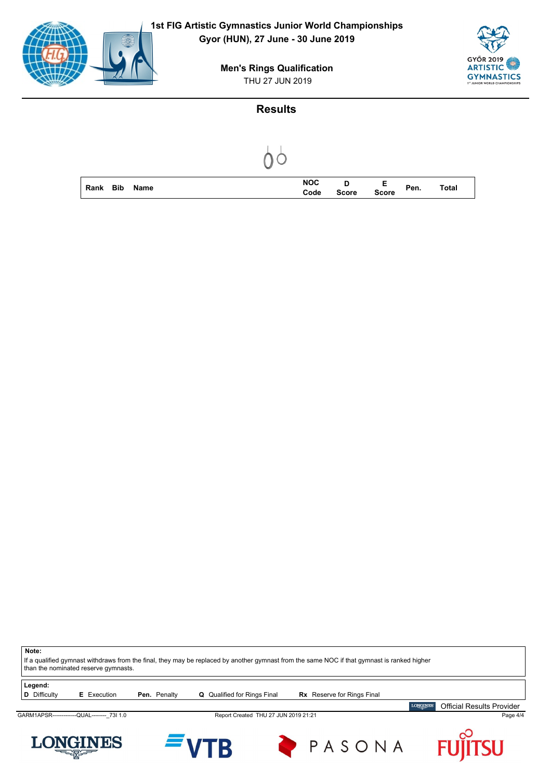

THU 27 JUN 2019 **Men's Rings Qualification**

#### **Results**



**Note:** If a qualified gymnast withdraws from the final, they may be replaced by another gymnast from the same NOC if that gymnast is ranked higher than the nominated reserve gymnasts. **Legend:**<br>**D** Difficulty **E** Execution **Pen.** Penalty **Q** Qualified for Rings Final **Rx** Reserve for Rings Final **LONGINES** Official Results ProviderGARM1APSR------------QUAL---------\_73I 1.0 Report Created THU 27 JUN 2019 21:21 Page 4/4 LONGINES PASONA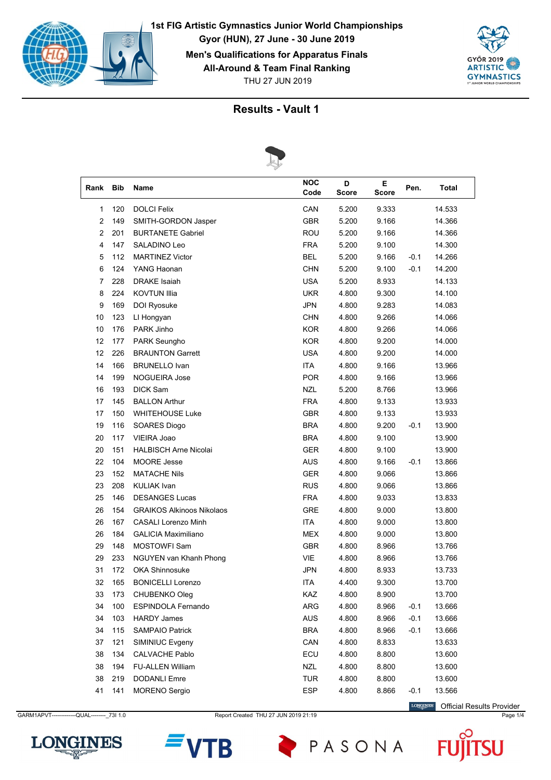





|                |     | $\sim$                           |                    |                   |             |        |              |  |
|----------------|-----|----------------------------------|--------------------|-------------------|-------------|--------|--------------|--|
| Rank           | Bib | Name                             | <b>NOC</b><br>Code | D<br><b>Score</b> | E.<br>Score | Pen.   | <b>Total</b> |  |
| 1              | 120 | <b>DOLCI Felix</b>               | CAN                | 5.200             | 9.333       |        | 14.533       |  |
| $\overline{2}$ | 149 | SMITH-GORDON Jasper              | <b>GBR</b>         | 5.200             | 9.166       |        | 14.366       |  |
| $\overline{2}$ | 201 | <b>BURTANETE Gabriel</b>         | <b>ROU</b>         | 5.200             | 9.166       |        | 14.366       |  |
| 4              | 147 | SALADINO Leo                     | <b>FRA</b>         | 5.200             | 9.100       |        | 14.300       |  |
| 5              | 112 | <b>MARTINEZ Victor</b>           | <b>BEL</b>         | 5.200             | 9.166       | $-0.1$ | 14.266       |  |
| 6              | 124 | YANG Haonan                      | <b>CHN</b>         | 5.200             | 9.100       | $-0.1$ | 14.200       |  |
| 7              | 228 | <b>DRAKE</b> Isaiah              | <b>USA</b>         | 5.200             | 8.933       |        | 14.133       |  |
| 8              | 224 | <b>KOVTUN Illia</b>              | <b>UKR</b>         | 4.800             | 9.300       |        | 14.100       |  |
| 9              | 169 | DOI Ryosuke                      | <b>JPN</b>         | 4.800             | 9.283       |        | 14.083       |  |
| 10             | 123 | LI Hongyan                       | <b>CHN</b>         | 4.800             | 9.266       |        | 14.066       |  |
| 10             | 176 | PARK Jinho                       | <b>KOR</b>         | 4.800             | 9.266       |        | 14.066       |  |
| 12             | 177 | PARK Seungho                     | <b>KOR</b>         | 4.800             | 9.200       |        | 14.000       |  |
| 12             | 226 | <b>BRAUNTON Garrett</b>          | <b>USA</b>         | 4.800             | 9.200       |        | 14.000       |  |
| 14             | 166 | <b>BRUNELLO Ivan</b>             | <b>ITA</b>         | 4.800             | 9.166       |        | 13.966       |  |
| 14             | 199 | <b>NOGUEIRA Jose</b>             | <b>POR</b>         | 4.800             | 9.166       |        | 13.966       |  |
| 16             | 193 | <b>DICK Sam</b>                  | <b>NZL</b>         | 5.200             | 8.766       |        | 13.966       |  |
| 17             | 145 | <b>BALLON Arthur</b>             | <b>FRA</b>         | 4.800             | 9.133       |        | 13.933       |  |
| 17             | 150 | <b>WHITEHOUSE Luke</b>           | <b>GBR</b>         | 4.800             | 9.133       |        | 13.933       |  |
| 19             | 116 | SOARES Diogo                     | <b>BRA</b>         | 4.800             | 9.200       | $-0.1$ | 13.900       |  |
| 20             | 117 | VIEIRA Joao                      | <b>BRA</b>         | 4.800             | 9.100       |        | 13.900       |  |
| 20             | 151 | <b>HALBISCH Arne Nicolai</b>     | <b>GER</b>         | 4.800             | 9.100       |        | 13.900       |  |
| 22             | 104 | <b>MOORE</b> Jesse               | <b>AUS</b>         | 4.800             | 9.166       | $-0.1$ | 13.866       |  |
| 23             | 152 | <b>MATACHE Nils</b>              | <b>GER</b>         | 4.800             | 9.066       |        | 13.866       |  |
| 23             | 208 | <b>KULIAK Ivan</b>               | <b>RUS</b>         | 4.800             | 9.066       |        | 13.866       |  |
| 25             | 146 | <b>DESANGES Lucas</b>            | <b>FRA</b>         | 4.800             | 9.033       |        | 13.833       |  |
| 26             | 154 | <b>GRAIKOS Alkinoos Nikolaos</b> | <b>GRE</b>         | 4.800             | 9.000       |        | 13.800       |  |
| 26             | 167 | <b>CASALI Lorenzo Minh</b>       | <b>ITA</b>         | 4.800             | 9.000       |        | 13.800       |  |
| 26             | 184 | <b>GALICIA Maximiliano</b>       | MEX                | 4.800             | 9.000       |        | 13.800       |  |
| 29             | 148 | <b>MOSTOWFI Sam</b>              | <b>GBR</b>         | 4.800             | 8.966       |        | 13.766       |  |
| 29             | 233 | NGUYEN van Khanh Phong           | VIE                | 4.800             | 8.966       |        | 13.766       |  |
| 31             | 172 | <b>OKA Shinnosuke</b>            | <b>JPN</b>         | 4.800             | 8.933       |        | 13.733       |  |
| 32             | 165 | <b>BONICELLI Lorenzo</b>         | <b>ITA</b>         | 4.400             | 9.300       |        | 13.700       |  |
| 33             | 173 | CHUBENKO Oleg                    | KAZ                | 4.800             | 8.900       |        | 13.700       |  |
| 34             | 100 | <b>ESPINDOLA Fernando</b>        | ARG                | 4.800             | 8.966       | $-0.1$ | 13.666       |  |
| 34             | 103 | <b>HARDY James</b>               | AUS                | 4.800             | 8.966       | $-0.1$ | 13.666       |  |
| 34             | 115 | <b>SAMPAIO Patrick</b>           | <b>BRA</b>         | 4.800             | 8.966       | $-0.1$ | 13.666       |  |
| 37             | 121 | SIMINIUC Evgeny                  | CAN                | 4.800             | 8.833       |        | 13.633       |  |
| 38             | 134 | <b>CALVACHE Pablo</b>            | ECU                | 4.800             | 8.800       |        | 13.600       |  |
| 38             | 194 | FU-ALLEN William                 | NZL                | 4.800             | 8.800       |        | 13.600       |  |
| 38             | 219 | <b>DODANLI Emre</b>              | <b>TUR</b>         | 4.800             | 8.800       |        | 13.600       |  |
| 41             | 141 | <b>MORENO</b> Sergio             | <b>ESP</b>         | 4.800             | 8.866       | $-0.1$ | 13.566       |  |

GARM1APVT-------------QUAL---------- 73I 1.0 Report Created THU 27 JUN 2019 21:19 Page 1/4 Page 1/4

LONGINES Official Results Provider

**SU** 



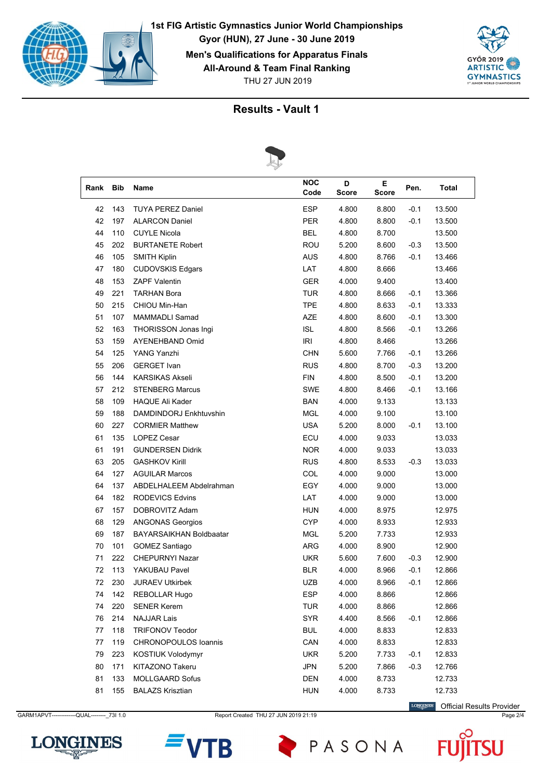





|      |            | ₽                              |                    |            |            |        |              |  |
|------|------------|--------------------------------|--------------------|------------|------------|--------|--------------|--|
| Rank | <b>Bib</b> | Name                           | <b>NOC</b><br>Code | D<br>Score | Е<br>Score | Pen.   | <b>Total</b> |  |
| 42   | 143        | <b>TUYA PEREZ Daniel</b>       | <b>ESP</b>         | 4.800      | 8.800      | $-0.1$ | 13.500       |  |
| 42   | 197        | <b>ALARCON Daniel</b>          | <b>PER</b>         | 4.800      | 8.800      | $-0.1$ | 13.500       |  |
| 44   | 110        | <b>CUYLE Nicola</b>            | <b>BEL</b>         | 4.800      | 8.700      |        | 13.500       |  |
| 45   | 202        | <b>BURTANETE Robert</b>        | <b>ROU</b>         | 5.200      | 8.600      | $-0.3$ | 13.500       |  |
| 46   | 105        | <b>SMITH Kiplin</b>            | <b>AUS</b>         | 4.800      | 8.766      | $-0.1$ | 13.466       |  |
| 47   | 180        | <b>CUDOVSKIS Edgars</b>        | LAT                | 4.800      | 8.666      |        | 13.466       |  |
| 48   | 153        | <b>ZAPF Valentin</b>           | <b>GER</b>         | 4.000      | 9.400      |        | 13.400       |  |
| 49   | 221        | <b>TARHAN Bora</b>             | <b>TUR</b>         | 4.800      | 8.666      | $-0.1$ | 13.366       |  |
| 50   | 215        | CHIOU Min-Han                  | <b>TPE</b>         | 4.800      | 8.633      | $-0.1$ | 13.333       |  |
| 51   | 107        | MAMMADLI Samad                 | <b>AZE</b>         | 4.800      | 8.600      | $-0.1$ | 13.300       |  |
| 52   | 163        | THORISSON Jonas Ingi           | <b>ISL</b>         | 4.800      | 8.566      | $-0.1$ | 13.266       |  |
| 53   | 159        | <b>AYENEHBAND Omid</b>         | IRI                | 4.800      | 8.466      |        | 13.266       |  |
| 54   | 125        | YANG Yanzhi                    | <b>CHN</b>         | 5.600      | 7.766      | $-0.1$ | 13.266       |  |
| 55   | 206        | <b>GERGET</b> Ivan             | <b>RUS</b>         | 4.800      | 8.700      | $-0.3$ | 13.200       |  |
| 56   | 144        | <b>KARSIKAS Akseli</b>         | <b>FIN</b>         | 4.800      | 8.500      | $-0.1$ | 13.200       |  |
| 57   | 212        | <b>STENBERG Marcus</b>         | <b>SWE</b>         | 4.800      | 8.466      | $-0.1$ | 13.166       |  |
| 58   | 109        | <b>HAQUE Ali Kader</b>         | BAN                | 4.000      | 9.133      |        | 13.133       |  |
| 59   | 188        | DAMDINDORJ Enkhtuvshin         | <b>MGL</b>         | 4.000      | 9.100      |        | 13.100       |  |
| 60   | 227        | <b>CORMIER Matthew</b>         | <b>USA</b>         | 5.200      | 8.000      | $-0.1$ | 13.100       |  |
| 61   | 135        | <b>LOPEZ Cesar</b>             | ECU                | 4.000      | 9.033      |        | 13.033       |  |
| 61   | 191        | <b>GUNDERSEN Didrik</b>        | <b>NOR</b>         | 4.000      | 9.033      |        | 13.033       |  |
| 63   | 205        | <b>GASHKOV Kirill</b>          | <b>RUS</b>         | 4.800      | 8.533      | $-0.3$ | 13.033       |  |
| 64   | 127        | <b>AGUILAR Marcos</b>          | COL                | 4.000      | 9.000      |        | 13.000       |  |
| 64   | 137        | ABDELHALEEM Abdelrahman        | EGY                | 4.000      | 9.000      |        | 13.000       |  |
| 64   | 182        | <b>RODEVICS Edvins</b>         | LAT                | 4.000      | 9.000      |        | 13.000       |  |
| 67   | 157        | DOBROVITZ Adam                 | <b>HUN</b>         | 4.000      | 8.975      |        | 12.975       |  |
| 68   | 129        | <b>ANGONAS Georgios</b>        | <b>CYP</b>         | 4.000      | 8.933      |        | 12.933       |  |
| 69   | 187        | <b>BAYARSAIKHAN Boldbaatar</b> | MGL                | 5.200      | 7.733      |        | 12.933       |  |
| 70   | 101        | GOMEZ Santiago                 | ARG                | 4.000      | 8.900      |        | 12.900       |  |
| 71   | 222        | <b>CHEPURNYI Nazar</b>         | <b>UKR</b>         | 5.600      | 7.600      | $-0.3$ | 12.900       |  |
| 72   | 113        | YAKUBAU Pavel                  | <b>BLR</b>         | 4.000      | 8.966      | $-0.1$ | 12.866       |  |
| 72   | 230        | JURAEV Utkirbek                | <b>UZB</b>         | 4.000      | 8.966      | $-0.1$ | 12.866       |  |
| 74   | 142        | <b>REBOLLAR Hugo</b>           | <b>ESP</b>         | 4.000      | 8.866      |        | 12.866       |  |
| 74   | 220        | <b>SENER Kerem</b>             | <b>TUR</b>         | 4.000      | 8.866      |        | 12.866       |  |
| 76   | 214        | <b>NAJJAR Lais</b>             | <b>SYR</b>         | 4.400      | 8.566      | $-0.1$ | 12.866       |  |
| 77   | 118        | TRIFONOV Teodor                | <b>BUL</b>         | 4.000      | 8.833      |        | 12.833       |  |
| 77   | 119        | CHRONOPOULOS Ioannis           | CAN                | 4.000      | 8.833      |        | 12.833       |  |
| 79   | 223        | KOSTIUK Volodymyr              | <b>UKR</b>         | 5.200      | 7.733      | $-0.1$ | 12.833       |  |
| 80   | 171        | KITAZONO Takeru                | <b>JPN</b>         | 5.200      | 7.866      | $-0.3$ | 12.766       |  |
| 81   | 133        | <b>MOLLGAARD Sofus</b>         | DEN                | 4.000      | 8.733      |        | 12.733       |  |
| 81   | 155        | <b>BALAZS Krisztian</b>        | <b>HUN</b>         | 4.000      | 8.733      |        | 12.733       |  |
|      |            |                                |                    |            |            |        |              |  |

GARM1APVT-------------QUAL---------\_73I 1.0 Report Created THU 27 JUN 2019 21:19 Page 2/4

LONGINES Official Results Provider

**SU** 



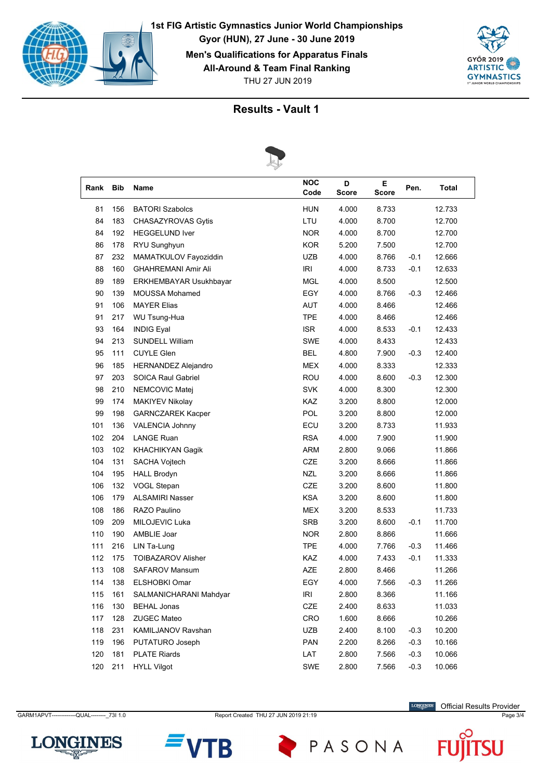





| Rank | Bib | Name                       | <b>NOC</b><br>Code                 | D<br><b>Score</b> | Е<br><b>Score</b> | Pen.   | Total  |  |  |  |
|------|-----|----------------------------|------------------------------------|-------------------|-------------------|--------|--------|--|--|--|
| 81   | 156 | <b>BATORI Szabolcs</b>     | <b>HUN</b>                         | 4.000             | 8.733             |        | 12.733 |  |  |  |
| 84   | 183 | CHASAZYROVAS Gytis         | LTU                                | 4.000             | 8.700             |        | 12.700 |  |  |  |
| 84   | 192 | <b>HEGGELUND Iver</b>      | <b>NOR</b>                         | 4.000             | 8.700             |        | 12.700 |  |  |  |
| 86   | 178 | RYU Sunghyun               | <b>KOR</b>                         | 5.200             | 7.500             |        | 12.700 |  |  |  |
| 87   | 232 | MAMATKULOV Fayoziddin      | <b>UZB</b>                         | 4.000             | 8.766             | $-0.1$ | 12.666 |  |  |  |
| 88   | 160 | <b>GHAHREMANI Amir Ali</b> | <b>IRI</b>                         | 4.000             | 8.733             | $-0.1$ | 12.633 |  |  |  |
| 89   | 189 | ERKHEMBAYAR Usukhbayar     | <b>MGL</b>                         | 4.000             | 8.500             |        | 12.500 |  |  |  |
| 90   | 139 | <b>MOUSSA Mohamed</b>      | EGY                                | 4.000             | 8.766             | $-0.3$ | 12.466 |  |  |  |
| 91   | 106 | <b>MAYER Elias</b>         | <b>AUT</b>                         | 4.000             | 8.466             |        | 12.466 |  |  |  |
| 91   | 217 | WU Tsung-Hua               | <b>TPE</b>                         | 4.000             | 8.466             |        | 12.466 |  |  |  |
| 93   | 164 | <b>INDIG Eyal</b>          | <b>ISR</b>                         | 4.000             | 8.533             | $-0.1$ | 12.433 |  |  |  |
| 94   | 213 | <b>SUNDELL William</b>     | <b>SWE</b>                         | 4.000             | 8.433             |        | 12.433 |  |  |  |
| 95   | 111 | <b>CUYLE Glen</b>          | <b>BEL</b>                         | 4.800             | 7.900             | $-0.3$ | 12.400 |  |  |  |
| 96   | 185 | <b>HERNANDEZ Alejandro</b> | <b>MEX</b>                         | 4.000             | 8.333             |        | 12.333 |  |  |  |
| 97   | 203 | <b>SOICA Raul Gabriel</b>  | ROU                                | 4.000             | 8.600             | $-0.3$ | 12.300 |  |  |  |
| 98   | 210 | NEMCOVIC Matej             | <b>SVK</b>                         | 4.000             | 8.300             |        | 12.300 |  |  |  |
| 99   | 174 | <b>MAKIYEV Nikolay</b>     | KAZ                                | 3.200             | 8.800             |        | 12.000 |  |  |  |
| 99   | 198 | <b>GARNCZAREK Kacper</b>   | POL                                | 3.200             | 8.800             |        | 12.000 |  |  |  |
| 101  | 136 | <b>VALENCIA Johnny</b>     | ECU                                | 3.200             | 8.733             |        | 11.933 |  |  |  |
| 102  | 204 | <b>LANGE Ruan</b>          | <b>RSA</b>                         | 4.000             | 7.900             |        | 11.900 |  |  |  |
| 103  | 102 | <b>KHACHIKYAN Gagik</b>    | <b>ARM</b>                         | 2.800             | 9.066             |        | 11.866 |  |  |  |
| 104  | 131 | SACHA Vojtech              | CZE                                | 3.200             | 8.666             |        | 11.866 |  |  |  |
| 104  | 195 | <b>HALL Brodyn</b>         | <b>NZL</b>                         | 3.200             | 8.666             |        | 11.866 |  |  |  |
| 106  | 132 | VOGL Stepan                | <b>CZE</b>                         | 3.200             | 8.600             |        | 11.800 |  |  |  |
| 106  | 179 | <b>ALSAMIRI Nasser</b>     | <b>KSA</b>                         | 3.200             | 8.600             |        | 11.800 |  |  |  |
| 108  | 186 | RAZO Paulino               | <b>MEX</b>                         | 3.200             | 8.533             |        | 11.733 |  |  |  |
| 109  | 209 | MILOJEVIC Luka             | <b>SRB</b>                         | 3.200             | 8.600             | $-0.1$ | 11.700 |  |  |  |
| 110  | 190 | AMBLIE Joar                | <b>NOR</b>                         | 2.800             | 8.866             |        | 11.666 |  |  |  |
| 111  | 216 | LIN Ta-Lung                | <b>TPE</b>                         | 4.000             | 7.766             | $-0.3$ | 11.466 |  |  |  |
| 112  | 175 | <b>TOIBAZAROV Alisher</b>  | KAZ                                | 4.000             | 7.433             | $-0.1$ | 11.333 |  |  |  |
| 113  | 108 | <b>SAFAROV Mansum</b>      | <b>AZE</b>                         | 2.800             | 8.466             |        | 11.266 |  |  |  |
| 114  | 138 | <b>ELSHOBKI Omar</b>       | EGY                                | 4.000             | 7.566             | $-0.3$ | 11.266 |  |  |  |
| 115  | 161 | SALMANICHARANI Mahdyar     | $\ensuremath{\mathsf{IRl}}\xspace$ | 2.800             | 8.366             |        | 11.166 |  |  |  |
| 116  | 130 | <b>BEHAL Jonas</b>         | CZE                                | 2.400             | 8.633             |        | 11.033 |  |  |  |
| 117  | 128 | <b>ZUGEC Mateo</b>         | CRO                                | 1.600             | 8.666             |        | 10.266 |  |  |  |
| 118  | 231 | KAMILJANOV Ravshan         | UZB                                | 2.400             | 8.100             | $-0.3$ | 10.200 |  |  |  |
| 119  | 196 | PUTATURO Joseph            | PAN                                | 2.200             | 8.266             | $-0.3$ | 10.166 |  |  |  |
| 120  | 181 | <b>PLATE Riards</b>        | LAT                                | 2.800             | 7.566             | $-0.3$ | 10.066 |  |  |  |
| 120  | 211 | <b>HYLL Vilgot</b>         | SWE                                | 2.800             | 7.566             | $-0.3$ | 10.066 |  |  |  |

GARM1APVT-------------QUAL---------\_73I 1.0 Report Created THU 27 JUN 2019 21:19 Page 3/4

**LONGINES** Official Results Provider





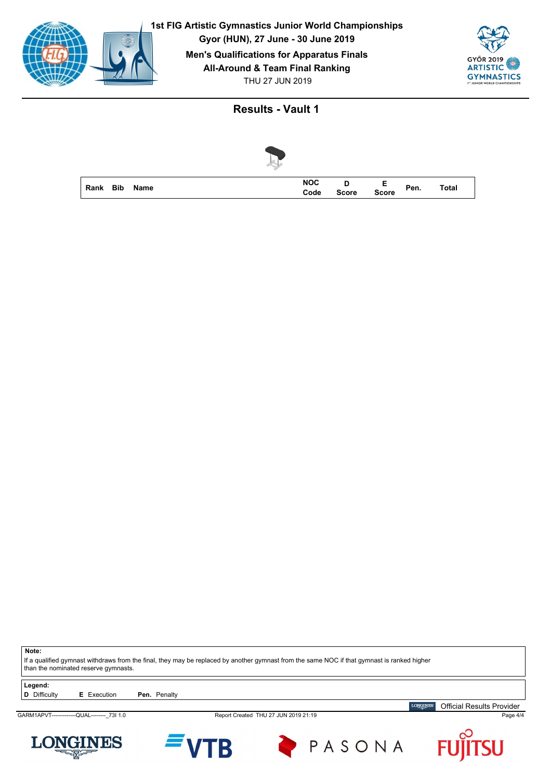





**Note:**

If a qualified gymnast withdraws from the final, they may be replaced by another gymnast from the same NOC if that gymnast is ranked higher than the nominated reserve gymnasts.

**Legend:**<br>**D** Difficulty

**E** Execution **Pen.** Penalty

GARM1APVT-------------QUAL---------\_73I 1.0 Report Created THU 27 JUN 2019 21:19 Page 4/4







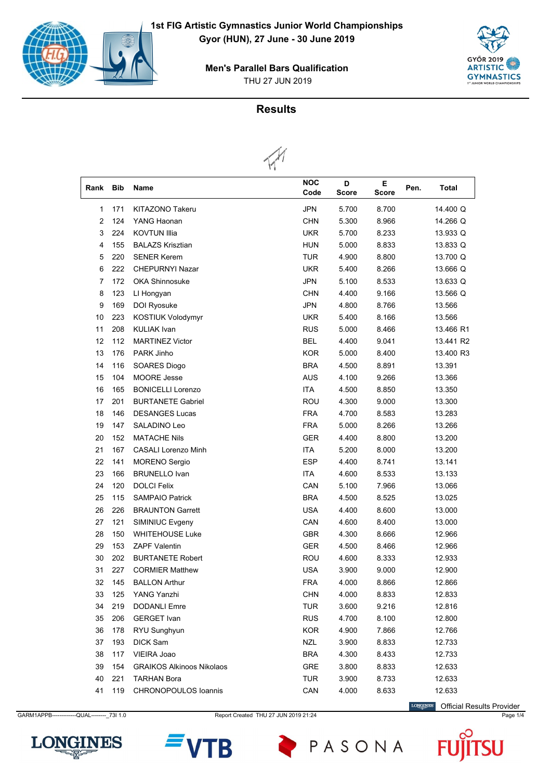

THU 27 JUN 2019 **Men's Parallel Bars Qualification**



### **Results**



| Rank           | Bib | Name                             | <b>NOC</b><br>Code | D<br><b>Score</b> | Е.<br><b>Score</b> | Pen. | <b>Total</b> |
|----------------|-----|----------------------------------|--------------------|-------------------|--------------------|------|--------------|
| 1              | 171 | <b>KITAZONO Takeru</b>           | <b>JPN</b>         | 5.700             | 8.700              |      | 14.400 Q     |
| $\overline{2}$ | 124 | YANG Haonan                      | <b>CHN</b>         | 5.300             | 8.966              |      | 14.266 Q     |
| 3              | 224 | <b>KOVTUN Illia</b>              | <b>UKR</b>         | 5.700             | 8.233              |      | 13.933 Q     |
| 4              | 155 | <b>BALAZS Krisztian</b>          | <b>HUN</b>         | 5.000             | 8.833              |      | 13.833 Q     |
| 5              | 220 | <b>SENER Kerem</b>               | TUR                | 4.900             | 8.800              |      | 13.700 Q     |
| 6              | 222 | <b>CHEPURNYI Nazar</b>           | <b>UKR</b>         | 5.400             | 8.266              |      | 13.666 Q     |
| 7              | 172 | <b>OKA Shinnosuke</b>            | <b>JPN</b>         | 5.100             | 8.533              |      | 13.633 Q     |
| 8              | 123 | LI Hongyan                       | <b>CHN</b>         | 4.400             | 9.166              |      | 13.566 Q     |
| 9              | 169 | DOI Ryosuke                      | <b>JPN</b>         | 4.800             | 8.766              |      | 13.566       |
| 10             | 223 | KOSTIUK Volodymyr                | <b>UKR</b>         | 5.400             | 8.166              |      | 13.566       |
| 11             | 208 | <b>KULIAK Ivan</b>               | <b>RUS</b>         | 5.000             | 8.466              |      | 13.466 R1    |
| 12             | 112 | <b>MARTINEZ Victor</b>           | <b>BEL</b>         | 4.400             | 9.041              |      | 13.441 R2    |
| 13             | 176 | PARK Jinho                       | <b>KOR</b>         | 5.000             | 8.400              |      | 13.400 R3    |
| 14             | 116 | SOARES Diogo                     | <b>BRA</b>         | 4.500             | 8.891              |      | 13.391       |
| 15             | 104 | <b>MOORE</b> Jesse               | <b>AUS</b>         | 4.100             | 9.266              |      | 13.366       |
| 16             | 165 | <b>BONICELLI Lorenzo</b>         | <b>ITA</b>         | 4.500             | 8.850              |      | 13.350       |
| 17             | 201 | <b>BURTANETE Gabriel</b>         | <b>ROU</b>         | 4.300             | 9.000              |      | 13.300       |
| 18             | 146 | <b>DESANGES Lucas</b>            | <b>FRA</b>         | 4.700             | 8.583              |      | 13.283       |
| 19             | 147 | SALADINO Leo                     | <b>FRA</b>         | 5.000             | 8.266              |      | 13.266       |
| 20             | 152 | <b>MATACHE Nils</b>              | <b>GER</b>         | 4.400             | 8.800              |      | 13.200       |
| 21             | 167 | <b>CASALI Lorenzo Minh</b>       | <b>ITA</b>         | 5.200             | 8.000              |      | 13.200       |
| 22             | 141 | <b>MORENO</b> Sergio             | <b>ESP</b>         | 4.400             | 8.741              |      | 13.141       |
| 23             | 166 | <b>BRUNELLO Ivan</b>             | <b>ITA</b>         | 4.600             | 8.533              |      | 13.133       |
| 24             | 120 | <b>DOLCI Felix</b>               | CAN                | 5.100             | 7.966              |      | 13.066       |
| 25             | 115 | <b>SAMPAIO Patrick</b>           | <b>BRA</b>         | 4.500             | 8.525              |      | 13.025       |
| 26             | 226 | <b>BRAUNTON Garrett</b>          | <b>USA</b>         | 4.400             | 8.600              |      | 13.000       |
| 27             | 121 | SIMINIUC Evgeny                  | CAN                | 4.600             | 8.400              |      | 13.000       |
| 28             | 150 | <b>WHITEHOUSE Luke</b>           | <b>GBR</b>         | 4.300             | 8.666              |      | 12.966       |
| 29             | 153 | <b>ZAPF Valentin</b>             | <b>GER</b>         | 4.500             | 8.466              |      | 12.966       |
| 30             | 202 | <b>BURTANETE Robert</b>          | <b>ROU</b>         | 4.600             | 8.333              |      | 12.933       |
| 31             | 227 | <b>CORMIER Matthew</b>           | <b>USA</b>         | 3.900             | 9.000              |      | 12.900       |
| 32             | 145 | <b>BALLON Arthur</b>             | <b>FRA</b>         | 4.000             | 8.866              |      | 12.866       |
| 33             | 125 | YANG Yanzhi                      | <b>CHN</b>         | 4.000             | 8.833              |      | 12.833       |
| 34             | 219 | <b>DODANLI Emre</b>              | <b>TUR</b>         | 3.600             | 9.216              |      | 12.816       |
| 35             | 206 | <b>GERGET</b> Ivan               | <b>RUS</b>         | 4.700             | 8.100              |      | 12.800       |
| 36             | 178 | RYU Sunghyun                     | <b>KOR</b>         | 4.900             | 7.866              |      | 12.766       |
| 37             | 193 | DICK Sam                         | <b>NZL</b>         | 3.900             | 8.833              |      | 12.733       |
| 38             | 117 | VIEIRA Joao                      | <b>BRA</b>         | 4.300             | 8.433              |      | 12.733       |
| 39             | 154 | <b>GRAIKOS Alkinoos Nikolaos</b> | GRE                | 3.800             | 8.833              |      | 12.633       |
| 40             | 221 | <b>TARHAN Bora</b>               | <b>TUR</b>         | 3.900             | 8.733              |      | 12.633       |
| 41             | 119 | CHRONOPOULOS Ioannis             | CAN                | 4.000             | 8.633              |      | 12.633       |

GARM1APPB------------QUAL--------- 73I 1.0 Report Created THU 27 JUN 2019 21:24 Page 1/4 Page 1/4

**LONGINES** Official Results Provider







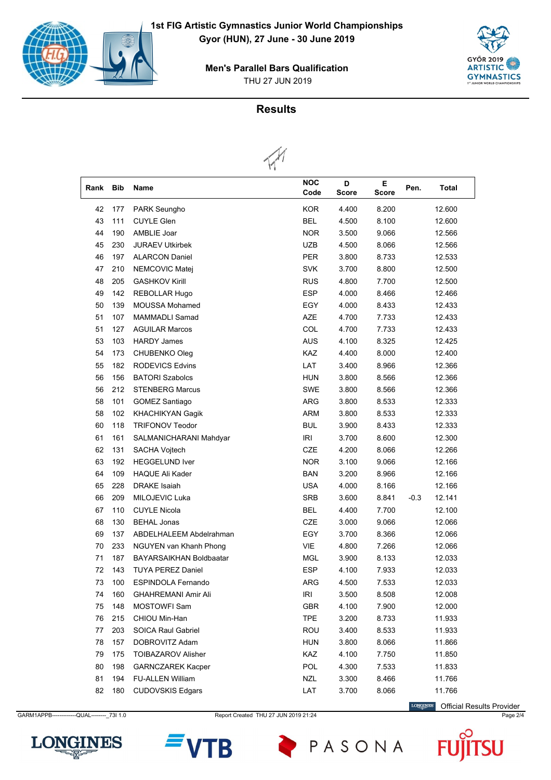





### **Results**



| Rank | <b>Bib</b> | <b>Name</b>                | NOC<br>Code | D<br><b>Score</b> | E.<br><b>Score</b> | Pen.   | <b>Total</b> |
|------|------------|----------------------------|-------------|-------------------|--------------------|--------|--------------|
| 42   | 177        | PARK Seungho               | <b>KOR</b>  | 4.400             | 8.200              |        | 12.600       |
| 43   | 111        | <b>CUYLE Glen</b>          | <b>BEL</b>  | 4.500             | 8.100              |        | 12.600       |
| 44   | 190        | AMBLIE Joar                | <b>NOR</b>  | 3.500             | 9.066              |        | 12.566       |
| 45   | 230        | <b>JURAEV Utkirbek</b>     | <b>UZB</b>  | 4.500             | 8.066              |        | 12.566       |
| 46   | 197        | <b>ALARCON Daniel</b>      | <b>PER</b>  | 3.800             | 8.733              |        | 12.533       |
| 47   | 210        | NEMCOVIC Matej             | <b>SVK</b>  | 3.700             | 8.800              |        | 12.500       |
| 48   | 205        | <b>GASHKOV Kirill</b>      | <b>RUS</b>  | 4.800             | 7.700              |        | 12.500       |
| 49   | 142        | REBOLLAR Hugo              | <b>ESP</b>  | 4.000             | 8.466              |        | 12.466       |
| 50   | 139        | <b>MOUSSA Mohamed</b>      | EGY         | 4.000             | 8.433              |        | 12.433       |
| 51   | 107        | MAMMADLI Samad             | <b>AZE</b>  | 4.700             | 7.733              |        | 12.433       |
| 51   | 127        | <b>AGUILAR Marcos</b>      | COL         | 4.700             | 7.733              |        | 12.433       |
| 53   | 103        | <b>HARDY James</b>         | <b>AUS</b>  | 4.100             | 8.325              |        | 12.425       |
| 54   | 173        | CHUBENKO Oleg              | KAZ         | 4.400             | 8.000              |        | 12.400       |
| 55   | 182        | <b>RODEVICS Edvins</b>     | LAT         | 3.400             | 8.966              |        | 12.366       |
| 56   | 156        | <b>BATORI Szabolcs</b>     | <b>HUN</b>  | 3.800             | 8.566              |        | 12.366       |
| 56   | 212        | <b>STENBERG Marcus</b>     | <b>SWE</b>  | 3.800             | 8.566              |        | 12.366       |
| 58   | 101        | <b>GOMEZ Santiago</b>      | <b>ARG</b>  | 3.800             | 8.533              |        | 12.333       |
| 58   | 102        | KHACHIKYAN Gagik           | <b>ARM</b>  | 3.800             | 8.533              |        | 12.333       |
| 60   | 118        | <b>TRIFONOV Teodor</b>     | <b>BUL</b>  | 3.900             | 8.433              |        | 12.333       |
| 61   | 161        | SALMANICHARANI Mahdyar     | <b>IRI</b>  | 3.700             | 8.600              |        | 12.300       |
| 62   | 131        | <b>SACHA Vojtech</b>       | <b>CZE</b>  | 4.200             | 8.066              |        | 12.266       |
| 63   | 192        | <b>HEGGELUND Iver</b>      | <b>NOR</b>  | 3.100             | 9.066              |        | 12.166       |
| 64   | 109        | <b>HAQUE Ali Kader</b>     | <b>BAN</b>  | 3.200             | 8.966              |        | 12.166       |
| 65   | 228        | <b>DRAKE</b> Isaiah        | <b>USA</b>  | 4.000             | 8.166              |        | 12.166       |
| 66   | 209        | MILOJEVIC Luka             | <b>SRB</b>  | 3.600             | 8.841              | $-0.3$ | 12.141       |
| 67   | 110        | <b>CUYLE Nicola</b>        | <b>BEL</b>  | 4.400             | 7.700              |        | 12.100       |
| 68   | 130        | <b>BEHAL Jonas</b>         | CZE         | 3.000             | 9.066              |        | 12.066       |
| 69   | 137        | ABDELHALEEM Abdelrahman    | EGY         | 3.700             | 8.366              |        | 12.066       |
| 70   | 233        | NGUYEN van Khanh Phong     | <b>VIE</b>  | 4.800             | 7.266              |        | 12.066       |
| 71   | 187        | BAYARSAIKHAN Boldbaatar    | <b>MGL</b>  | 3.900             | 8.133              |        | 12.033       |
| 72   | 143        | <b>TUYA PEREZ Daniel</b>   | ESP         | 4.100             | 7.933              |        | 12.033       |
| 73   | 100        | <b>ESPINDOLA Fernando</b>  | ARG         | 4.500             | 7.533              |        | 12.033       |
| 74   | 160        | <b>GHAHREMANI Amir Ali</b> | IRI         | 3.500             | 8.508              |        | 12.008       |
| 75   | 148        | <b>MOSTOWFI Sam</b>        | <b>GBR</b>  | 4.100             | 7.900              |        | 12.000       |
| 76   | 215        | CHIOU Min-Han              | <b>TPE</b>  | 3.200             | 8.733              |        | 11.933       |
| 77   | 203        | <b>SOICA Raul Gabriel</b>  | <b>ROU</b>  | 3.400             | 8.533              |        | 11.933       |
| 78   | 157        | DOBROVITZ Adam             | <b>HUN</b>  | 3.800             | 8.066              |        | 11.866       |
| 79   | 175        | <b>TOIBAZAROV Alisher</b>  | KAZ         | 4.100             | 7.750              |        | 11.850       |
| 80   | 198        | <b>GARNCZAREK Kacper</b>   | POL         | 4.300             | 7.533              |        | 11.833       |
| 81   | 194        | <b>FU-ALLEN William</b>    | <b>NZL</b>  | 3.300             | 8.466              |        | 11.766       |
| 82   | 180        | <b>CUDOVSKIS Edgars</b>    | LAT         | 3.700             | 8.066              |        | 11.766       |

GARM1APPB-------------QUAL--------\_73I 1.0 Report Created THU 27 JUN 2019 21:24 Page 2/4

**LONGINES** Official Results Provider





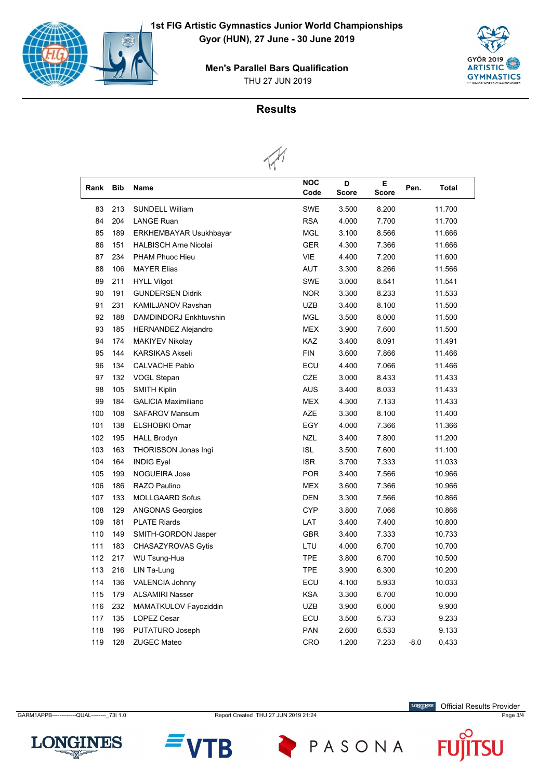

THU 27 JUN 2019 **Men's Parallel Bars Qualification**



### **Results**



| Rank | <b>Bib</b> | <b>Name</b>                   | <b>NOC</b><br>Code | D<br><b>Score</b> | Е<br><b>Score</b> | Pen.   | <b>Total</b> |  |
|------|------------|-------------------------------|--------------------|-------------------|-------------------|--------|--------------|--|
| 83   | 213        | <b>SUNDELL William</b>        | <b>SWE</b>         | 3.500             | 8.200             |        | 11.700       |  |
| 84   | 204        | <b>LANGE Ruan</b>             | <b>RSA</b>         | 4.000             | 7.700             |        | 11.700       |  |
| 85   | 189        | <b>ERKHEMBAYAR Usukhbayar</b> | <b>MGL</b>         | 3.100             | 8.566             | 11.666 |              |  |
| 86   | 151        | <b>HALBISCH Arne Nicolai</b>  | <b>GER</b>         | 4.300             | 7.366             | 11.666 |              |  |
| 87   | 234        | PHAM Phuoc Hieu               | <b>VIE</b>         | 4.400             | 7.200             | 11.600 |              |  |
| 88   | 106        | <b>MAYER Elias</b>            | <b>AUT</b>         | 3.300             | 8.266             |        | 11.566       |  |
| 89   | 211        | <b>HYLL Vilgot</b>            | <b>SWE</b>         | 3.000             | 8.541             |        | 11.541       |  |
| 90   | 191        | <b>GUNDERSEN Didrik</b>       | <b>NOR</b>         | 3.300             | 8.233             |        | 11.533       |  |
| 91   | 231        | <b>KAMILJANOV Ravshan</b>     | <b>UZB</b>         | 3.400             | 8.100             |        | 11.500       |  |
| 92   | 188        | DAMDINDORJ Enkhtuvshin        | <b>MGL</b>         | 3.500             | 8.000             |        | 11.500       |  |
| 93   | 185        | <b>HERNANDEZ Alejandro</b>    | <b>MEX</b>         | 3.900             | 7.600             |        | 11.500       |  |
| 94   | 174        | <b>MAKIYEV Nikolay</b>        | KAZ                | 3.400             | 8.091             |        | 11.491       |  |
| 95   | 144        | <b>KARSIKAS Akseli</b>        | <b>FIN</b>         | 3.600             | 7.866             |        | 11.466       |  |
| 96   | 134        | CALVACHE Pablo                | ECU                | 4.400             | 7.066             |        | 11.466       |  |
| 97   | 132        | VOGL Stepan                   | <b>CZE</b>         | 3.000             | 8.433             |        | 11.433       |  |
| 98   | 105        | <b>SMITH Kiplin</b>           | <b>AUS</b>         | 3.400             | 8.033             |        | 11.433       |  |
| 99   | 184        | <b>GALICIA Maximiliano</b>    | <b>MEX</b>         | 4.300             | 7.133             |        | 11.433       |  |
| 100  | 108        | <b>SAFAROV Mansum</b>         | <b>AZE</b>         | 3.300             | 8.100             |        | 11.400       |  |
| 101  | 138        | <b>ELSHOBKI Omar</b>          | EGY                | 4.000             | 7.366             |        | 11.366       |  |
| 102  | 195        | <b>HALL Brodyn</b>            | <b>NZL</b>         | 3.400             | 7.800             |        | 11.200       |  |
| 103  | 163        | THORISSON Jonas Ingi          | <b>ISL</b>         | 3.500             | 7.600             |        | 11.100       |  |
| 104  | 164        | <b>INDIG Eval</b>             | <b>ISR</b>         | 3.700             | 7.333             |        | 11.033       |  |
| 105  | 199        | NOGUEIRA Jose                 | <b>POR</b>         | 3.400             | 7.566             |        | 10.966       |  |
| 106  | 186        | RAZO Paulino                  | <b>MEX</b>         | 3.600             | 7.366             |        | 10.966       |  |
| 107  | 133        | <b>MOLLGAARD Sofus</b>        | <b>DEN</b>         | 3.300             | 7.566             |        | 10.866       |  |
| 108  | 129        | <b>ANGONAS Georgios</b>       | <b>CYP</b>         | 3.800             | 7.066             |        | 10.866       |  |
| 109  | 181        | <b>PLATE Riards</b>           | LAT                | 3.400             | 7.400             |        | 10.800       |  |
| 110  | 149        | SMITH-GORDON Jasper           | <b>GBR</b>         | 3.400             | 7.333             |        | 10.733       |  |
| 111  | 183        | CHASAZYROVAS Gytis            | LTU                | 4.000             | 6.700             |        | 10.700       |  |
| 112  | 217        | <b>WU Tsung-Hua</b>           | <b>TPE</b>         | 3.800             | 6.700             |        | 10.500       |  |
| 113  | 216        | LIN Ta-Lung                   | <b>TPE</b>         | 3.900             | 6.300             |        | 10.200       |  |
| 114  | 136        | <b>VALENCIA Johnny</b>        | ECU                | 4.100             | 5.933             |        | 10.033       |  |
| 115  | 179        | <b>ALSAMIRI Nasser</b>        | <b>KSA</b>         | 3.300             | 6.700             |        | 10.000       |  |
| 116  | 232        | MAMATKULOV Fayoziddin         | <b>UZB</b>         | 3.900             | 6.000             |        | 9.900        |  |
| 117  | 135        | <b>LOPEZ Cesar</b>            | ECU                | 3.500             | 5.733             |        | 9.233        |  |
| 118  | 196        | PUTATURO Joseph               | <b>PAN</b>         | 2.600             | 6.533             |        | 9.133        |  |
| 119  | 128        | <b>ZUGEC Mateo</b>            | <b>CRO</b>         | 1.200             | 7.233             | $-8.0$ | 0.433        |  |

GARM1APPB-------------QUAL--------\_73I 1.0 Report Created THU 27 JUN 2019 21:24 Page 3/4

LONGINES Official Results Provider

 $\boldsymbol{\mathsf{F}}$ 



Ū





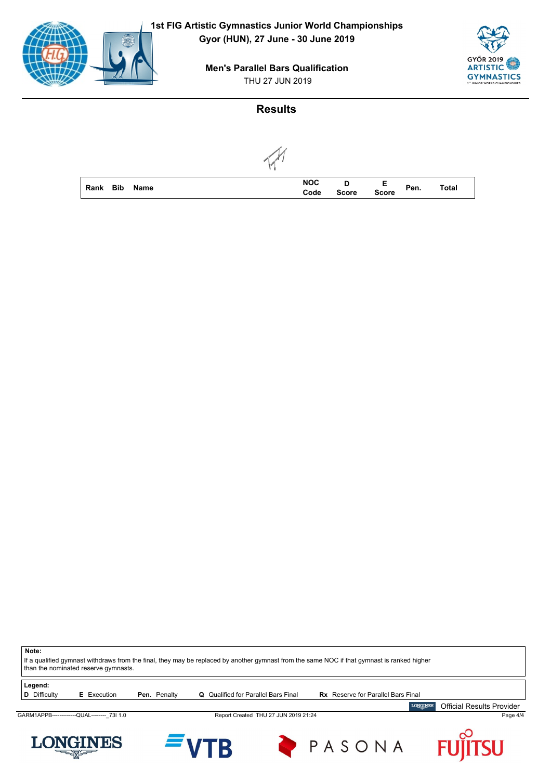

THU 27 JUN 2019 **Men's Parallel Bars Qualification**



# **Results**



| <b>Rank Bib</b> | Name | <b>NOC</b><br>Code | <b>Score</b> | Е<br><b>Score</b> | Pen. | <b>Total</b> |
|-----------------|------|--------------------|--------------|-------------------|------|--------------|

| Note:                          | than the nominated reserve gymnasts.        |              | If a qualified gymnast withdraws from the final, they may be replaced by another gymnast from the same NOC if that gymnast is ranked higher |                                      |        |                                           |                                  |
|--------------------------------|---------------------------------------------|--------------|---------------------------------------------------------------------------------------------------------------------------------------------|--------------------------------------|--------|-------------------------------------------|----------------------------------|
| Legend:<br><b>D</b> Difficulty | <b>E</b> Execution                          | Pen. Penalty | <b>Q</b> Qualified for Parallel Bars Final                                                                                                  |                                      |        | <b>Rx</b> Reserve for Parallel Bars Final |                                  |
|                                |                                             |              |                                                                                                                                             |                                      |        | <b>LONGINES</b>                           | <b>Official Results Provider</b> |
|                                | GARM1APPB--------------QUAL-------- 73I 1.0 |              |                                                                                                                                             | Report Created THU 27 JUN 2019 21:24 |        |                                           | Page 4/4                         |
|                                | <b>LONGINES</b><br><b>CONTROL</b>           |              | <b>EVTR</b>                                                                                                                                 |                                      | PASONA |                                           | <b>FUJITSU</b>                   |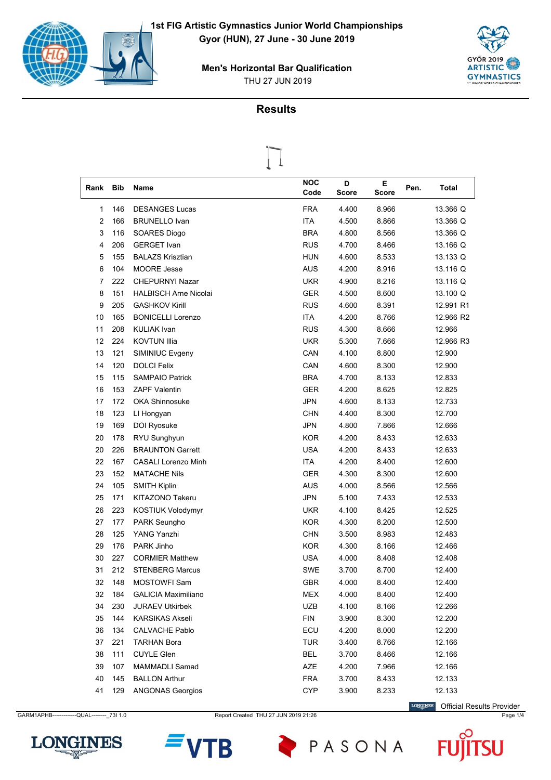



### **Results**

 $\prod$ 

|      |            |                              | T |                    |            |            |      |           |
|------|------------|------------------------------|---|--------------------|------------|------------|------|-----------|
| Rank | <b>Bib</b> | <b>Name</b>                  |   | <b>NOC</b><br>Code | D<br>Score | Е<br>Score | Pen. | Total     |
| 1    | 146        | <b>DESANGES Lucas</b>        |   | <b>FRA</b>         | 4.400      | 8.966      |      | 13.366 Q  |
| 2    | 166        | <b>BRUNELLO Ivan</b>         |   | <b>ITA</b>         | 4.500      | 8.866      |      | 13.366 Q  |
| 3    | 116        | SOARES Diogo                 |   | <b>BRA</b>         | 4.800      | 8.566      |      | 13.366 Q  |
| 4    | 206        | <b>GERGET Ivan</b>           |   | <b>RUS</b>         | 4.700      | 8.466      |      | 13.166 Q  |
| 5    | 155        | <b>BALAZS Krisztian</b>      |   | HUN                | 4.600      | 8.533      |      | 13.133 Q  |
| 6    | 104        | <b>MOORE Jesse</b>           |   | AUS                | 4.200      | 8.916      |      | 13.116 Q  |
| 7    | 222        | <b>CHEPURNYI Nazar</b>       |   | <b>UKR</b>         | 4.900      | 8.216      |      | 13.116 Q  |
| 8    | 151        | <b>HALBISCH Arne Nicolai</b> |   | <b>GER</b>         | 4.500      | 8.600      |      | 13.100 Q  |
| 9    | 205        | <b>GASHKOV Kirill</b>        |   | <b>RUS</b>         | 4.600      | 8.391      |      | 12.991 R1 |
| 10   | 165        | <b>BONICELLI Lorenzo</b>     |   | <b>ITA</b>         | 4.200      | 8.766      |      | 12.966 R2 |
| 11   | 208        | <b>KULIAK Ivan</b>           |   | <b>RUS</b>         | 4.300      | 8.666      |      | 12.966    |
| 12   | 224        | <b>KOVTUN Illia</b>          |   | <b>UKR</b>         | 5.300      | 7.666      |      | 12.966 R3 |
| 13   | 121        | SIMINIUC Evgeny              |   | CAN                | 4.100      | 8.800      |      | 12.900    |
| 14   | 120        | <b>DOLCI Felix</b>           |   | CAN                | 4.600      | 8.300      |      | 12.900    |
| 15   | 115        | <b>SAMPAIO Patrick</b>       |   | <b>BRA</b>         | 4.700      | 8.133      |      | 12.833    |
| 16   | 153        | <b>ZAPF Valentin</b>         |   | <b>GER</b>         | 4.200      | 8.625      |      | 12.825    |
| 17   | 172        | <b>OKA Shinnosuke</b>        |   | <b>JPN</b>         | 4.600      | 8.133      |      | 12.733    |
| 18   | 123        | LI Hongyan                   |   | <b>CHN</b>         | 4.400      | 8.300      |      | 12.700    |
| 19   | 169        | DOI Ryosuke                  |   | <b>JPN</b>         | 4.800      | 7.866      |      | 12.666    |
| 20   | 178        | RYU Sunghyun                 |   | <b>KOR</b>         | 4.200      | 8.433      |      | 12.633    |
| 20   | 226        | <b>BRAUNTON Garrett</b>      |   | <b>USA</b>         | 4.200      | 8.433      |      | 12.633    |
| 22   | 167        | <b>CASALI Lorenzo Minh</b>   |   | <b>ITA</b>         | 4.200      | 8.400      |      | 12.600    |
| 23   | 152        | <b>MATACHE Nils</b>          |   | <b>GER</b>         | 4.300      | 8.300      |      | 12.600    |
| 24   | 105        | <b>SMITH Kiplin</b>          |   | AUS                | 4.000      | 8.566      |      | 12.566    |
| 25   | 171        | KITAZONO Takeru              |   | <b>JPN</b>         | 5.100      | 7.433      |      | 12.533    |
| 26   | 223        | <b>KOSTIUK Volodymyr</b>     |   | <b>UKR</b>         | 4.100      | 8.425      |      | 12.525    |
| 27   | 177        | PARK Seungho                 |   | <b>KOR</b>         | 4.300      | 8.200      |      | 12.500    |
| 28   | 125        | <b>YANG Yanzhi</b>           |   | <b>CHN</b>         | 3.500      | 8.983      |      | 12.483    |
| 29   | 176        | PARK Jinho                   |   | <b>KOR</b>         | 4.300      | 8.166      |      | 12.466    |
| 30   | 227        | <b>CORMIER Matthew</b>       |   | USA                | 4.000      | 8.408      |      | 12.408    |
| 31   | 212        | <b>STENBERG Marcus</b>       |   | <b>SWE</b>         | 3.700      | 8.700      |      | 12.400    |
| 32   | 148        | <b>MOSTOWFI Sam</b>          |   | <b>GBR</b>         | 4.000      | 8.400      |      | 12.400    |
| 32   | 184        | <b>GALICIA Maximiliano</b>   |   | MEX                | 4.000      | 8.400      |      | 12.400    |
| 34   | 230        | <b>JURAEV Utkirbek</b>       |   | <b>UZB</b>         | 4.100      | 8.166      |      | 12.266    |
| 35   | 144        | <b>KARSIKAS Akseli</b>       |   | <b>FIN</b>         | 3.900      | 8.300      |      | 12.200    |
| 36   | 134        | <b>CALVACHE Pablo</b>        |   | ECU                | 4.200      | 8.000      |      | 12.200    |
| 37   | 221        | <b>TARHAN Bora</b>           |   | <b>TUR</b>         | 3.400      | 8.766      |      | 12.166    |
| 38   | 111        | <b>CUYLE Glen</b>            |   | BEL                | 3.700      | 8.466      |      | 12.166    |
| 39   | 107        | MAMMADLI Samad               |   | AZE                | 4.200      | 7.966      |      | 12.166    |
| 40   | 145        | <b>BALLON Arthur</b>         |   | <b>FRA</b>         | 3.700      | 8.433      |      | 12.133    |
| 41   | 129        | <b>ANGONAS Georgios</b>      |   | <b>CYP</b>         | 3.900      | 8.233      |      | 12.133    |

GARM1APHB------------QUAL---------\_73I 1.0 Report Created THU 27 JUN 2019 21:26 Page 1/4 Page 1/4

**LONGINES** Official Results Provider

U





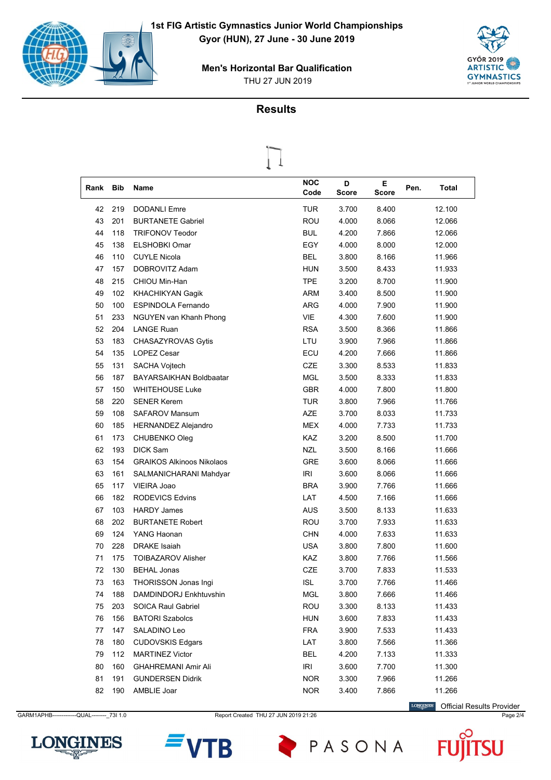



### **Results**

 $\overline{\mathcal{L}}$ 

| Rank | <b>Bib</b> | Name                             | <b>NOC</b><br>Code                 | D<br><b>Score</b> | Е<br><b>Score</b> | Pen. | Total  |
|------|------------|----------------------------------|------------------------------------|-------------------|-------------------|------|--------|
| 42   | 219        | <b>DODANLI Emre</b>              | <b>TUR</b>                         | 3.700             | 8.400             |      | 12.100 |
| 43   | 201        | <b>BURTANETE Gabriel</b>         | ROU                                | 4.000             | 8.066             |      | 12.066 |
| 44   | 118        | <b>TRIFONOV Teodor</b>           | <b>BUL</b>                         | 4.200             | 7.866             |      | 12.066 |
| 45   | 138        | <b>ELSHOBKI Omar</b>             | EGY                                | 4.000             | 8.000             |      | 12.000 |
| 46   | 110        | <b>CUYLE Nicola</b>              | <b>BEL</b>                         | 3.800             | 8.166             |      | 11.966 |
| 47   | 157        | DOBROVITZ Adam                   | <b>HUN</b>                         | 3.500             | 8.433             |      | 11.933 |
| 48   | 215        | CHIOU Min-Han                    | <b>TPE</b>                         | 3.200             | 8.700             |      | 11.900 |
| 49   | 102        | KHACHIKYAN Gagik                 | ARM                                | 3.400             | 8.500             |      | 11.900 |
| 50   | 100        | <b>ESPINDOLA Fernando</b>        | <b>ARG</b>                         | 4.000             | 7.900             |      | 11.900 |
| 51   | 233        | NGUYEN van Khanh Phong           | <b>VIE</b>                         | 4.300             | 7.600             |      | 11.900 |
| 52   | 204        | <b>LANGE Ruan</b>                | <b>RSA</b>                         | 3.500             | 8.366             |      | 11.866 |
| 53   | 183        | CHASAZYROVAS Gytis               | LTU                                | 3.900             | 7.966             |      | 11.866 |
| 54   | 135        | <b>LOPEZ Cesar</b>               | ECU                                | 4.200             | 7.666             |      | 11.866 |
| 55   | 131        | SACHA Vojtech                    | <b>CZE</b>                         | 3.300             | 8.533             |      | 11.833 |
| 56   | 187        | <b>BAYARSAIKHAN Boldbaatar</b>   | <b>MGL</b>                         | 3.500             | 8.333             |      | 11.833 |
| 57   | 150        | <b>WHITEHOUSE Luke</b>           | <b>GBR</b>                         | 4.000             | 7.800             |      | 11.800 |
| 58   | 220        | <b>SENER Kerem</b>               | <b>TUR</b>                         | 3.800             | 7.966             |      | 11.766 |
| 59   | 108        | <b>SAFAROV Mansum</b>            | <b>AZE</b>                         | 3.700             | 8.033             |      | 11.733 |
| 60   | 185        | <b>HERNANDEZ Alejandro</b>       | <b>MEX</b>                         | 4.000             | 7.733             |      | 11.733 |
| 61   | 173        | CHUBENKO Oleg                    | <b>KAZ</b>                         | 3.200             | 8.500             |      | 11.700 |
| 62   | 193        | <b>DICK Sam</b>                  | <b>NZL</b>                         | 3.500             | 8.166             |      | 11.666 |
| 63   | 154        | <b>GRAIKOS Alkinoos Nikolaos</b> | <b>GRE</b>                         | 3.600             | 8.066             |      | 11.666 |
| 63   | 161        | SALMANICHARANI Mahdyar           | <b>IRI</b>                         | 3.600             | 8.066             |      | 11.666 |
| 65   | 117        | VIEIRA Joao                      | <b>BRA</b>                         | 3.900             | 7.766             |      | 11.666 |
| 66   | 182        | <b>RODEVICS Edvins</b>           | LAT                                | 4.500             | 7.166             |      | 11.666 |
| 67   | 103        | <b>HARDY James</b>               | <b>AUS</b>                         | 3.500             | 8.133             |      | 11.633 |
| 68   | 202        | <b>BURTANETE Robert</b>          | ROU                                | 3.700             | 7.933             |      | 11.633 |
| 69   | 124        | YANG Haonan                      | <b>CHN</b>                         | 4.000             | 7.633             |      | 11.633 |
| 70   | 228        | <b>DRAKE</b> Isaiah              | <b>USA</b>                         | 3.800             | 7.800             |      | 11.600 |
| 71   | 175        | <b>TOIBAZAROV Alisher</b>        | KAZ                                | 3.800             | 7.766             |      | 11.566 |
| 72   | 130        | <b>BEHAL Jonas</b>               | <b>CZE</b>                         | 3.700             | 7.833             |      | 11.533 |
| 73   | 163        | THORISSON Jonas Ingi             | <b>ISL</b>                         | 3.700             | 7.766             |      | 11.466 |
| 74   | 188        | DAMDINDORJ Enkhtuvshin           | <b>MGL</b>                         | 3.800             | 7.666             |      | 11.466 |
| 75   | 203        | <b>SOICA Raul Gabriel</b>        | <b>ROU</b>                         | 3.300             | 8.133             |      | 11.433 |
| 76   | 156        | <b>BATORI Szabolcs</b>           | <b>HUN</b>                         | 3.600             | 7.833             |      | 11.433 |
| 77   | 147        | SALADINO Leo                     | <b>FRA</b>                         | 3.900             | 7.533             |      | 11.433 |
| 78   | 180        | <b>CUDOVSKIS Edgars</b>          | LAT                                | 3.800             | 7.566             |      | 11.366 |
| 79   | 112        | <b>MARTINEZ Victor</b>           | <b>BEL</b>                         | 4.200             | 7.133             |      | 11.333 |
| 80   | 160        | <b>GHAHREMANI Amir Ali</b>       | $\ensuremath{\mathsf{IRl}}\xspace$ | 3.600             | 7.700             |      | 11.300 |
| 81   | 191        | <b>GUNDERSEN Didrik</b>          | <b>NOR</b>                         | 3.300             | 7.966             |      | 11.266 |
| 82   | 190        | AMBLIE Joar                      | <b>NOR</b>                         | 3.400             | 7.866             |      | 11.266 |

GARM1APHB------------QUAL---------\_73I 1.0 Report Created THU 27 JUN 2019 21:26 Page 2/4

B

**LONGINES** 

PASONA

Official Results Provider

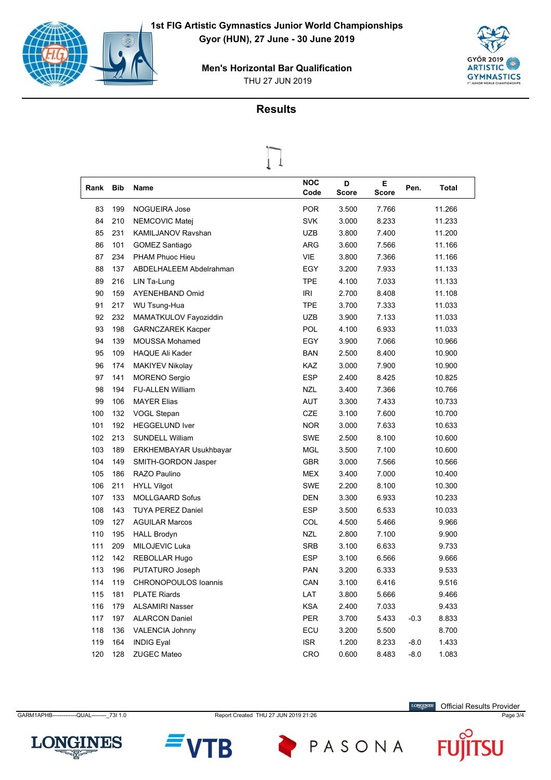



### **Results**

 $\prod$ 

| T    |            |                          |                    |                   |                   |        |        |  |  |  |  |
|------|------------|--------------------------|--------------------|-------------------|-------------------|--------|--------|--|--|--|--|
| Rank | <b>Bib</b> | <b>Name</b>              | <b>NOC</b><br>Code | D<br><b>Score</b> | Е<br><b>Score</b> | Pen.   | Total  |  |  |  |  |
| 83   | 199        | <b>NOGUEIRA Jose</b>     | <b>POR</b>         | 3.500             | 7.766             |        | 11.266 |  |  |  |  |
| 84   | 210        | NEMCOVIC Matej           | <b>SVK</b>         | 3.000             | 8.233             |        | 11.233 |  |  |  |  |
| 85   | 231        | KAMILJANOV Ravshan       | UZB                | 3.800             | 7.400             |        | 11.200 |  |  |  |  |
| 86   | 101        | GOMEZ Santiago           | <b>ARG</b>         | 3.600             | 7.566             |        | 11.166 |  |  |  |  |
| 87   | 234        | PHAM Phuoc Hieu          | <b>VIE</b>         | 3.800             | 7.366             |        | 11.166 |  |  |  |  |
| 88   | 137        | ABDELHALEEM Abdelrahman  | EGY                | 3.200             | 7.933             |        | 11.133 |  |  |  |  |
| 89   | 216        | LIN Ta-Lung              | <b>TPE</b>         | 4.100             | 7.033             |        | 11.133 |  |  |  |  |
| 90   | 159        | <b>AYENEHBAND Omid</b>   | <b>IRI</b>         | 2.700             | 8.408             |        | 11.108 |  |  |  |  |
| 91   | 217        | WU Tsung-Hua             | TPE                | 3.700             | 7.333             |        | 11.033 |  |  |  |  |
| 92   | 232        | MAMATKULOV Fayoziddin    | <b>UZB</b>         | 3.900             | 7.133             |        | 11.033 |  |  |  |  |
| 93   | 198        | <b>GARNCZAREK Kacper</b> | POL                | 4.100             | 6.933             |        | 11.033 |  |  |  |  |
| 94   | 139        | <b>MOUSSA Mohamed</b>    | EGY                | 3.900             | 7.066             |        | 10.966 |  |  |  |  |
| 95   | 109        | <b>HAQUE Ali Kader</b>   | <b>BAN</b>         | 2.500             | 8.400             |        | 10.900 |  |  |  |  |
| 96   | 174        | <b>MAKIYEV Nikolay</b>   | <b>KAZ</b>         | 3.000             | 7.900             |        | 10.900 |  |  |  |  |
| 97   | 141        | <b>MORENO</b> Sergio     | <b>ESP</b>         | 2.400             | 8.425             |        | 10.825 |  |  |  |  |
| 98   | 194        | <b>FU-ALLEN William</b>  | <b>NZL</b>         | 3.400             | 7.366             |        | 10.766 |  |  |  |  |
| 99   | 106        | <b>MAYER Elias</b>       | <b>AUT</b>         | 3.300             | 7.433             |        | 10.733 |  |  |  |  |
| 100  | 132        | <b>VOGL Stepan</b>       | <b>CZE</b>         | 3.100             | 7.600             |        | 10.700 |  |  |  |  |
| 101  | 192        | <b>HEGGELUND Iver</b>    | <b>NOR</b>         | 3.000             | 7.633             |        | 10.633 |  |  |  |  |
| 102  | 213        | <b>SUNDELL William</b>   | <b>SWE</b>         | 2.500             | 8.100             |        | 10.600 |  |  |  |  |
| 103  | 189        | ERKHEMBAYAR Usukhbayar   | MGL                | 3.500             | 7.100             |        | 10.600 |  |  |  |  |
| 104  | 149        | SMITH-GORDON Jasper      | <b>GBR</b>         | 3.000             | 7.566             |        | 10.566 |  |  |  |  |
| 105  | 186        | RAZO Paulino             | <b>MEX</b>         | 3.400             | 7.000             |        | 10.400 |  |  |  |  |
| 106  | 211        | <b>HYLL Vilgot</b>       | <b>SWE</b>         | 2.200             | 8.100             |        | 10.300 |  |  |  |  |
| 107  | 133        | <b>MOLLGAARD Sofus</b>   | <b>DEN</b>         | 3.300             | 6.933             |        | 10.233 |  |  |  |  |
| 108  | 143        | <b>TUYA PEREZ Daniel</b> | <b>ESP</b>         | 3.500             | 6.533             |        | 10.033 |  |  |  |  |
| 109  | 127        | <b>AGUILAR Marcos</b>    | COL                | 4.500             | 5.466             |        | 9.966  |  |  |  |  |
| 110  | 195        | <b>HALL Brodyn</b>       | <b>NZL</b>         | 2.800             | 7.100             |        | 9.900  |  |  |  |  |
| 111  | 209        | <b>MILOJEVIC Luka</b>    | <b>SRB</b>         | 3.100             | 6.633             |        | 9.733  |  |  |  |  |
| 112  | 142        | <b>REBOLLAR Hugo</b>     | <b>ESP</b>         | 3.100             | 6.566             |        | 9.666  |  |  |  |  |
| 113  | 196        | PUTATURO Joseph          | <b>PAN</b>         | 3.200             | 6.333             |        | 9.533  |  |  |  |  |
| 114  | 119        | CHRONOPOULOS Ioannis     | CAN                | 3.100             | 6.416             |        | 9.516  |  |  |  |  |
| 115  | 181        | <b>PLATE Riards</b>      | LAT                | 3.800             | 5.666             |        | 9.466  |  |  |  |  |
| 116  | 179        | <b>ALSAMIRI Nasser</b>   | <b>KSA</b>         | 2.400             | 7.033             |        | 9.433  |  |  |  |  |
| 117  | 197        | <b>ALARCON Daniel</b>    | PER                | 3.700             | 5.433             | $-0.3$ | 8.833  |  |  |  |  |
| 118  | 136        | VALENCIA Johnny          | ECU                | 3.200             | 5.500             |        | 8.700  |  |  |  |  |
| 119  | 164        | <b>INDIG Eyal</b>        | <b>ISR</b>         | 1.200             | 8.233             | $-8.0$ | 1.433  |  |  |  |  |
| 120  | 128        | ZUGEC Mateo              | CRO                | 0.600             | 8.483             | $-8.0$ | 1.083  |  |  |  |  |

CARM1APHB------------QUAL---------\_73I 1.0 Report Created THU 27 JUN 2019 21:26 Page 3/4

PASONA

LONGINES Official Results Provider

 $\boldsymbol{\mathsf{F}}$ 





B